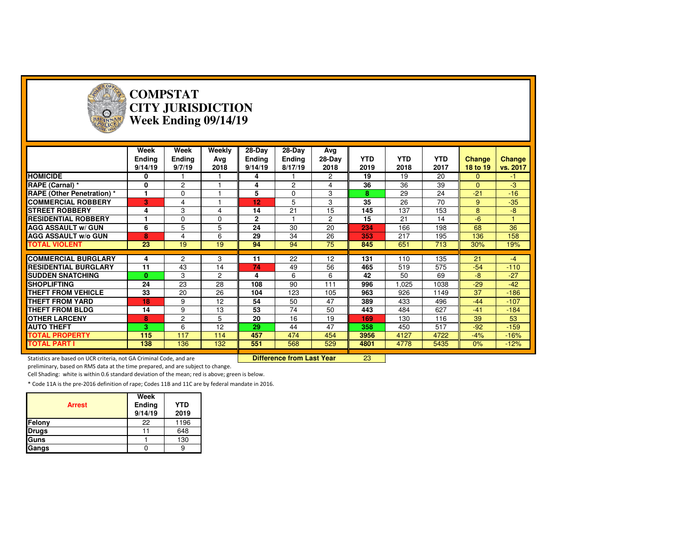

#### **COMPSTAT CITY JURISDICTIONWeek Ending 09/14/19**

|                                                                     | Week<br><b>Ending</b><br>9/14/19 | Week<br><b>Ending</b><br>9/7/19 | Weekly<br>Avg<br>2018 | $28-Dav$<br><b>Ending</b><br>9/14/19 | 28-Day<br><b>Ending</b><br>8/17/19 | Avg<br>28-Day<br>2018 | <b>YTD</b><br>2019 | <b>YTD</b><br>2018 | <b>YTD</b><br>2017 | <b>Change</b><br>18 to 19 | Change<br>vs. 2017 |
|---------------------------------------------------------------------|----------------------------------|---------------------------------|-----------------------|--------------------------------------|------------------------------------|-----------------------|--------------------|--------------------|--------------------|---------------------------|--------------------|
| <b>HOMICIDE</b>                                                     | 0                                |                                 |                       | 4                                    |                                    | $\mathbf{2}^{\circ}$  | 19                 | 19                 | 20                 | $\Omega$                  | $-1$               |
| <b>RAPE (Carnal) *</b>                                              | 0                                | $\overline{c}$                  |                       | 4                                    | $\overline{2}$                     | 4                     | 36                 | 36                 | 39                 | $\Omega$                  | -3                 |
| <b>RAPE (Other Penetration) *</b>                                   |                                  | $\mathbf 0$                     |                       | 5                                    | $\Omega$                           | 3                     | 8                  | 29                 | 24                 | $-21$                     | $-16$              |
| <b>COMMERCIAL ROBBERY</b>                                           | 3                                | 4                               |                       | 12                                   | 5                                  | 3                     | 35                 | 26                 | 70                 | 9                         | $-35$              |
| <b>STREET ROBBERY</b>                                               | 4                                | 3                               | 4                     | 14                                   | 21                                 | 15                    | 145                | 137                | 153                | 8                         | $-8$               |
| <b>RESIDENTIAL ROBBERY</b>                                          |                                  | $\Omega$                        | 0                     | $\mathbf{2}$                         |                                    | $\overline{c}$        | 15                 | 21                 | 14                 | $-6$                      |                    |
| <b>AGG ASSAULT w/ GUN</b>                                           | 6                                | 5                               | 5                     | 24                                   | 30                                 | 20                    | 234                | 166                | 198                | 68                        | 36                 |
| <b>AGG ASSAULT w/o GUN</b>                                          | 8                                | 4                               | 6                     | 29                                   | 34                                 | 26                    | 353                | 217                | 195                | 136                       | 158                |
| <b>TOTAL VIOLENT</b>                                                | 23                               | 19                              | 19                    | 94                                   | 94                                 | 75                    | 845                | 651                | 713                | 30%                       | 19%                |
|                                                                     |                                  |                                 |                       |                                      |                                    |                       |                    |                    |                    |                           |                    |
| <b>COMMERCIAL BURGLARY</b>                                          | 4                                | 2                               | 3                     | 11                                   | 22                                 | 12                    | 131                | 110                | 135                | 21                        | $-4$               |
| <b>RESIDENTIAL BURGLARY</b>                                         | 11                               | 43                              | 14                    | 74                                   | 49                                 | 56                    | 465                | 519                | 575                | $-54$                     | $-110$             |
| <b>SUDDEN SNATCHING</b>                                             | $\bf{0}$                         | 3                               | $\overline{2}$        | 4                                    | 6                                  | 6                     | 42                 | 50                 | 69                 | $-8$                      | $-27$              |
| <b>SHOPLIFTING</b>                                                  | 24                               | 23                              | 28                    | 108                                  | 90                                 | 111                   | 996                | 1,025              | 1038               | $-29$                     | $-42$              |
| <b>THEFT FROM VEHICLE</b>                                           | 33                               | 20                              | 26                    | 104                                  | 123                                | 105                   | 963                | 926                | 1149               | 37                        | $-186$             |
| <b>THEFT FROM YARD</b>                                              | 18                               | 9                               | 12                    | 54                                   | 50                                 | 47                    | 389                | 433                | 496                | $-44$                     | $-107$             |
| <b>THEFT FROM BLDG</b>                                              | 14                               | 9                               | 13                    | 53                                   | 74                                 | 50                    | 443                | 484                | 627                | $-41$                     | $-184$             |
| <b>OTHER LARCENY</b>                                                | 8                                | 2                               | 5                     | 20                                   | 16                                 | 19                    | 169                | 130                | 116                | 39                        | 53                 |
| <b>AUTO THEFT</b>                                                   | 3.                               | 6                               | 12                    | 29                                   | 44                                 | 47                    | 358                | 450                | 517                | $-92$                     | $-159$             |
| <b>TOTAL PROPERTY</b>                                               | 115                              | 117                             | 114                   | 457                                  | 474                                | 454                   | 3956               | 4127               | 4722               | $-4%$                     | $-16%$             |
| <b>TOTAL PART I</b>                                                 | 138                              | 136                             | 132                   | 551                                  | 568                                | 529                   | 4801               | 4778               | 5435               | 0%                        | $-12%$             |
|                                                                     |                                  |                                 |                       |                                      |                                    |                       |                    |                    |                    |                           |                    |
| Statistics are based on UCR criteria, not GA Criminal Code, and are |                                  |                                 |                       |                                      | Difference from Last Year          |                       | 23                 |                    |                    |                           |                    |

preliminary, based on RMS data at the time prepared, and are subject to change.

Cell Shading: white is within 0.6 standard deviation of the mean; red is above; green is below.

| <b>Arrest</b> | Week<br>Ending<br>9/14/19 | <b>YTD</b><br>2019 |
|---------------|---------------------------|--------------------|
| Felony        | 22                        | 1196               |
| <b>Drugs</b>  |                           | 648                |
| Guns          |                           | 130                |
| Gangs         |                           |                    |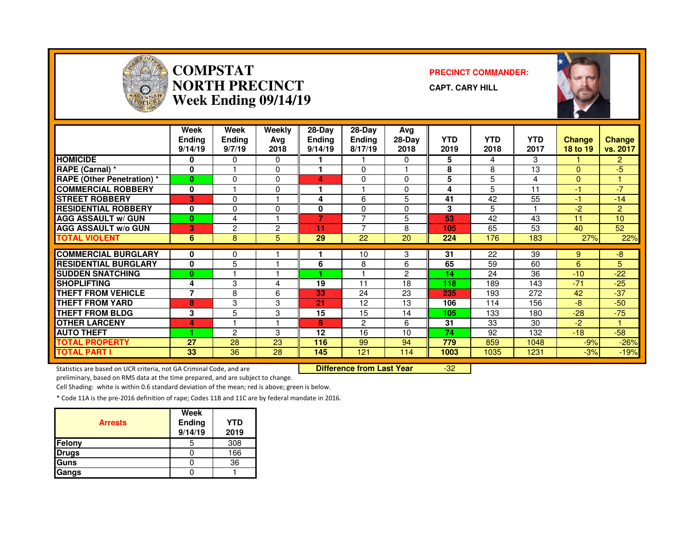

#### **COMPSTAT PRECINCT COMMANDER: NORTH PRECINCTWeek Ending 09/14/19**

**CAPT. CARY HILL**



|                                   | Week<br>Ending<br>9/14/19 | Week<br>Ending<br>9/7/19 | Weekly<br>Ava<br>2018 | 28-Day<br><b>Ending</b><br>9/14/19 | $28-Dav$<br><b>Ending</b><br>8/17/19 | Avg<br>$28-Day$<br>2018 | <b>YTD</b><br>2019 | <b>YTD</b><br>2018 | <b>YTD</b><br>2017 | <b>Change</b><br>18 to 19 | <b>Change</b><br>vs. 2017 |
|-----------------------------------|---------------------------|--------------------------|-----------------------|------------------------------------|--------------------------------------|-------------------------|--------------------|--------------------|--------------------|---------------------------|---------------------------|
| <b>HOMICIDE</b>                   | 0                         | 0                        | 0                     |                                    |                                      | $\Omega$                | 5                  | 4                  | 3                  |                           | $\overline{2}$            |
| RAPE (Carnal) *                   | 0                         |                          | $\Omega$              |                                    | $\Omega$                             |                         | 8                  | 8                  | 13                 | $\Omega$                  | -5                        |
| <b>RAPE (Other Penetration) *</b> | $\bf{0}$                  | 0                        | $\Omega$              | 4                                  | $\Omega$                             | $\Omega$                | 5                  | 5                  | 4                  | $\Omega$                  |                           |
| <b>COMMERCIAL ROBBERY</b>         | 0                         |                          | 0                     |                                    |                                      | $\Omega$                | 4                  | 5                  | 11                 | -1                        | $-7$                      |
| <b>STREET ROBBERY</b>             | 3                         | 0                        |                       | 4                                  | 6                                    | 5                       | 41                 | 42                 | 55                 | -1                        | $-14$                     |
| <b>RESIDENTIAL ROBBERY</b>        | 0                         | 0                        | 0                     | 0                                  | $\Omega$                             | $\Omega$                | 3                  | 5                  |                    | $-2$                      | $\overline{2}$            |
| <b>AGG ASSAULT w/ GUN</b>         | $\bf{0}$                  | 4                        |                       | 7                                  | $\overline{ }$                       | 5                       | 53                 | 42                 | 43                 | 11                        | 10 <sup>1</sup>           |
| <b>AGG ASSAULT W/o GUN</b>        | 3                         | 2                        | 2                     | 11                                 | $\overline{ }$                       | 8                       | 105                | 65                 | 53                 | 40                        | 52                        |
| <b>TOTAL VIOLENT</b>              | 6                         | 8                        | 5                     | 29                                 | 22                                   | 20                      | 224                | 176                | 183                | 27%                       | 22%                       |
|                                   |                           |                          |                       |                                    |                                      |                         |                    |                    |                    |                           |                           |
| <b>COMMERCIAL BURGLARY</b>        | 0                         | 0                        |                       |                                    | 10                                   | 3                       | 31                 | 22                 | 39                 | 9                         | -8                        |
| <b>RESIDENTIAL BURGLARY</b>       | 0                         | 5                        |                       | 6                                  | 8                                    | 6                       | 65                 | 59                 | 60                 | 6                         | 5                         |
| <b>SUDDEN SNATCHING</b>           | $\bf{0}$                  |                          |                       |                                    |                                      | 2                       | 14                 | 24                 | 36                 | $-10$                     | $-22$                     |
| <b>SHOPLIFTING</b>                | 4                         | 3                        | 4                     | 19                                 | 11                                   | 18                      | 118                | 189                | 143                | $-71$                     | $-25$                     |
| <b>THEFT FROM VEHICLE</b>         | 7                         | 8                        | 6                     | 33                                 | 24                                   | 23                      | 235                | 193                | 272                | 42                        | $-37$                     |
| THEFT FROM YARD                   | 8                         | 3                        | 3                     | 21                                 | 12                                   | 13                      | 106                | 114                | 156                | -8                        | $-50$                     |
| <b>THEFT FROM BLDG</b>            | 3                         | 5                        | 3                     | 15                                 | 15                                   | 14                      | 105                | 133                | 180                | $-28$                     | $-75$                     |
| <b>OTHER LARCENY</b>              | 4                         |                          |                       | 8                                  | $\overline{2}$                       | 6                       | 31                 | 33                 | 30                 | $-2$                      |                           |
| <b>AUTO THEFT</b>                 |                           | 2                        | 3                     | 12                                 | 16                                   | 10                      | 74                 | 92                 | 132                | $-18$                     | $-58$                     |
| <b>TOTAL PROPERTY</b>             | 27                        | 28                       | 23                    | 116                                | 99                                   | 94                      | 779                | 859                | 1048               | $-9%$                     | $-26%$                    |
| TOTAL PART I                      | 33                        | 36                       | 28                    | 145                                | 121                                  | 114                     | 1003               | 1035               | 1231               | $-3%$                     | $-19%$                    |

Statistics are based on UCR criteria, not GA Criminal Code, and are **Difference from Last Year** 

-32

preliminary, based on RMS data at the time prepared, and are subject to change.

Cell Shading: white is within 0.6 standard deviation of the mean; red is above; green is below.

| <b>Arrests</b> | Week<br>Ending<br>9/14/19 | YTD<br>2019 |
|----------------|---------------------------|-------------|
| <b>Felony</b>  |                           | 308         |
| <b>Drugs</b>   |                           | 166         |
| <b>Guns</b>    |                           | 36          |
| <b>Gangs</b>   |                           |             |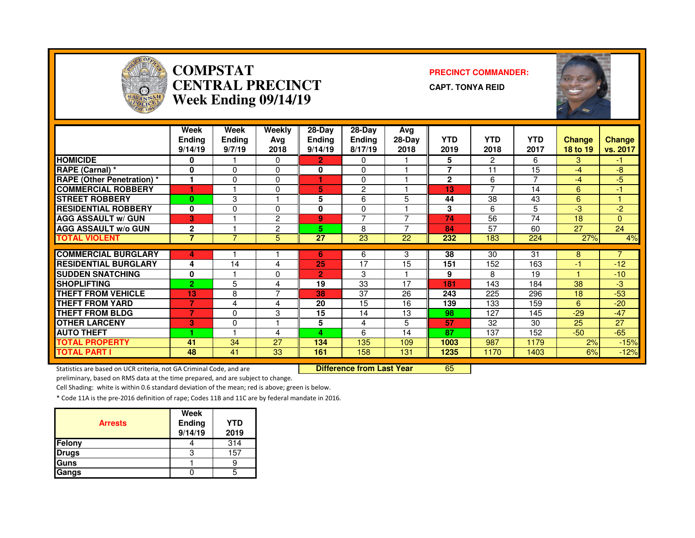

#### **COMPSTAT PRECINCT COMMANDER: CENTRAL PRECINCTWeek Ending 09/14/19**

**CAPT. TONYA REID**



|                                   | Week<br><b>Ending</b><br>9/14/19 | Week<br>Ending<br>9/7/19 | Weekly<br>Ava<br>2018 | $28-Dav$<br><b>Ending</b><br>9/14/19 | 28-Dav<br>Ending<br>8/17/19 | Avg<br>$28-Day$<br>2018 | <b>YTD</b><br>2019 | <b>YTD</b><br>2018 | <b>YTD</b><br>2017 | <b>Change</b><br>18 to 19 | <b>Change</b><br>vs. 2017 |
|-----------------------------------|----------------------------------|--------------------------|-----------------------|--------------------------------------|-----------------------------|-------------------------|--------------------|--------------------|--------------------|---------------------------|---------------------------|
| <b>HOMICIDE</b>                   | 0                                |                          | 0                     | 2.                                   | 0                           |                         | 5                  | $\overline{2}$     | 6                  | 3                         | -1.                       |
| RAPE (Carnal) *                   | $\bf{0}$                         | $\Omega$                 | 0                     | $\bf{0}$                             | $\Omega$                    |                         | 7                  | 11                 | 15                 | -4                        | -8                        |
| <b>RAPE (Other Penetration) *</b> | 1                                | $\Omega$                 | 0                     |                                      | $\Omega$                    |                         | $\mathbf{2}$       | 6                  | 7                  | -4                        | -5                        |
| <b>COMMERCIAL ROBBERY</b>         |                                  |                          | $\mathbf 0$           | 5                                    | $\overline{2}$              |                         | 13                 | $\overline{ }$     | 14                 | 6                         | -1                        |
| <b>STREET ROBBERY</b>             | $\bf{0}$                         | 3                        |                       | 5                                    | 6                           | 5                       | 44                 | 38                 | 43                 | 6                         |                           |
| <b>RESIDENTIAL ROBBERY</b>        | $\bf{0}$                         | 0                        | $\Omega$              | 0                                    | $\mathbf{0}$                |                         | 3                  | 6                  | 5                  | -3                        | $-2$                      |
| <b>AGG ASSAULT w/ GUN</b>         | 3                                |                          | $\overline{2}$        | 9                                    | $\overline{ }$              |                         | 74                 | 56                 | 74                 | 18                        | $\Omega$                  |
| <b>AGG ASSAULT w/o GUN</b>        | $\mathbf{2}$                     |                          | 2                     | 5                                    | 8                           | ⇁                       | 84                 | 57                 | 60                 | 27                        | 24                        |
| <b>TOTAL VIOLENT</b>              | $\overline{7}$                   | $\overline{7}$           | 5                     | 27                                   | 23                          | 22                      | 232                | 183                | 224                | 27%                       | 4%                        |
|                                   |                                  |                          |                       |                                      |                             |                         |                    |                    |                    |                           |                           |
| <b>COMMERCIAL BURGLARY</b>        | 4                                |                          |                       | 6                                    | 6                           | 3                       | 38                 | 30                 | 31                 | 8                         | $\overline{7}$            |
| <b>RESIDENTIAL BURGLARY</b>       | 4                                | 14                       | 4                     | 25                                   | 17                          | 15                      | 151                | 152                | 163                | -1                        | $-12$                     |
| <b>SUDDEN SNATCHING</b>           | 0                                |                          | 0                     | 2                                    | 3                           |                         | 9                  | 8                  | 19                 |                           | $-10$                     |
| <b>SHOPLIFTING</b>                | $\overline{2}$                   | 5                        | 4                     | 19                                   | 33                          | 17                      | 181                | 143                | 184                | 38                        | $-3$                      |
| <b>THEFT FROM VEHICLE</b>         | 13                               | 8                        | $\overline{7}$        | 38                                   | 37                          | 26                      | 243                | 225                | 296                | 18                        | $-53$                     |
| <b>THEFT FROM YARD</b>            | $\overline{7}$                   | 4                        | 4                     | 20                                   | 15                          | 16                      | 139                | 133                | 159                | 6                         | $-20$                     |
| <b>THEFT FROM BLDG</b>            | 7                                | 0                        | 3                     | 15                                   | 14                          | 13                      | 98                 | 127                | 145                | $-29$                     | $-47$                     |
| <b>OTHER LARCENY</b>              | 3                                | 0                        | ٠                     | 5                                    | 4                           | 5                       | 57                 | 32                 | 30                 | 25                        | 27                        |
| <b>AUTO THEFT</b>                 |                                  |                          | 4                     | 4                                    | 6                           | 14                      | 87                 | 137                | 152                | $-50$                     | $-65$                     |
| <b>TOTAL PROPERTY</b>             | 41                               | 34                       | 27                    | 134                                  | 135                         | 109                     | 1003               | 987                | 1179               | 2%                        | $-15%$                    |
| <b>TOTAL PART I</b>               | 48                               | 41                       | 33                    | 161                                  | 158                         | 131                     | 1235               | 1170               | 1403               | 6%                        | $-12%$                    |

Statistics are based on UCR criteria, not GA Criminal Code, and are **Difference from Last Year** 

<sup>65</sup>

preliminary, based on RMS data at the time prepared, and are subject to change.

Cell Shading: white is within 0.6 standard deviation of the mean; red is above; green is below.

| <b>Arrests</b> | Week<br>Ending<br>9/14/19 | <b>YTD</b><br>2019 |
|----------------|---------------------------|--------------------|
| Felony         |                           | 314                |
| <b>Drugs</b>   |                           | 157                |
| Guns           |                           |                    |
| Gangs          |                           |                    |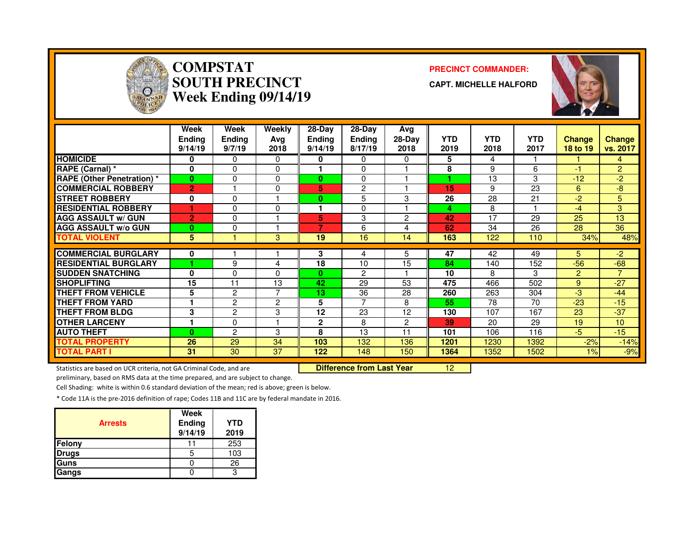

# **COMPSTAT PRECINCT COMMANDER: SOUTH PRECINCTWeek Ending 09/14/19**

**CAPT. MICHELLE HALFORD**



|                                   | Week<br><b>Ending</b><br>9/14/19 | Week<br><b>Ending</b><br>9/7/19 | Weekly<br>Avg<br>2018 | $28-Dav$<br><b>Ending</b><br>9/14/19 | 28-Dav<br><b>Ending</b><br>8/17/19 | Avg<br>$28-Day$<br>2018 | <b>YTD</b><br>2019 | <b>YTD</b><br>2018 | <b>YTD</b><br>2017 | <b>Change</b><br>18 to 19 | Change<br>vs. 2017 |
|-----------------------------------|----------------------------------|---------------------------------|-----------------------|--------------------------------------|------------------------------------|-------------------------|--------------------|--------------------|--------------------|---------------------------|--------------------|
| <b>HOMICIDE</b>                   | 0                                | 0                               | $\Omega$              | 0                                    | $\Omega$                           | 0                       | 5                  | 4                  |                    |                           | 4                  |
| RAPE (Carnal) *                   | $\bf{0}$                         | 0                               | $\Omega$              |                                      | $\Omega$                           |                         | 8                  | 9                  | 6                  | -1                        | $\overline{2}$     |
| <b>RAPE (Other Penetration) *</b> | $\bf{0}$                         | 0                               | $\Omega$              | 0                                    | 0                                  |                         |                    | 13                 | 3                  | $-12$                     | $-2$               |
| <b>COMMERCIAL ROBBERY</b>         | $\overline{2}$                   |                                 | $\Omega$              | 5                                    | $\overline{2}$                     |                         | 15                 | 9                  | 23                 | 6                         | -8                 |
| <b>ISTREET ROBBERY</b>            | $\bf{0}$                         | $\Omega$                        |                       | 0                                    | 5                                  | 3                       | 26                 | 28                 | 21                 | $-2$                      | 5                  |
| <b>RESIDENTIAL ROBBERY</b>        |                                  | $\Omega$                        | $\Omega$              |                                      | 0                                  |                         | 4                  | 8                  |                    | $-4$                      | 3                  |
| <b>AGG ASSAULT w/ GUN</b>         | $\overline{2}$                   | $\Omega$                        |                       | 5                                    | 3                                  | 2                       | 42                 | 17                 | 29                 | 25                        | 13                 |
| <b>AGG ASSAULT w/o GUN</b>        | $\bf{0}$                         | 0                               |                       | 7                                    | 6                                  | 4                       | 62                 | 34                 | 26                 | 28                        | 36                 |
| <b>TOTAL VIOLENT</b>              | 5                                |                                 | 3                     | 19                                   | 16                                 | 14                      | 163                | 122                | 110                | 34%                       | 48%                |
| <b>COMMERCIAL BURGLARY</b>        | 0                                |                                 |                       | 3                                    | 4                                  | 5                       | 47                 | 42                 | 49                 | 5.                        | $-2$               |
| <b>RESIDENTIAL BURGLARY</b>       |                                  | 9                               |                       | 18                                   | 10                                 | 15                      | 84                 | 140                | 152                | $-56$                     | $-68$              |
|                                   | 0                                |                                 | 4                     |                                      |                                    |                         | 10                 |                    |                    |                           | 7                  |
| <b>ISUDDEN SNATCHING</b>          |                                  | 0                               | $\Omega$              | $\bf{0}$                             | $\overline{2}$                     |                         |                    | 8                  | 3                  | $\mathbf{P}$              |                    |
| <b>ISHOPLIFTING</b>               | 15                               | 11                              | 13                    | 42                                   | 29                                 | 53                      | 475                | 466                | 502                | 9                         | $-27$              |
| <b>THEFT FROM VEHICLE</b>         | 5                                | $\overline{2}$                  | 7                     | 13                                   | 36                                 | 28                      | 260                | 263                | 304                | $-3$                      | $-44$              |
| <b>THEFT FROM YARD</b>            |                                  | $\overline{2}$                  | 2                     | 5                                    | $\overline{7}$                     | 8                       | 55                 | 78                 | 70                 | $-23$                     | $-15$              |
| <b>THEFT FROM BLDG</b>            | 3                                | $\overline{2}$                  | 3                     | 12                                   | 23                                 | 12                      | 130                | 107                | 167                | 23                        | $-37$              |
| <b>OTHER LARCENY</b>              |                                  | $\Omega$                        |                       | 2                                    | 8                                  | $\overline{2}$          | 39                 | 20                 | 29                 | 19                        | 10 <sup>°</sup>    |
| <b>AUTO THEFT</b>                 | $\bf{0}$                         | $\overline{c}$                  | 3                     | 8                                    | 13                                 | 11                      | 101                | 106                | 116                | $-5$                      | $-15$              |
| <b>TOTAL PROPERTY</b>             | 26                               | 29                              | 34                    | 103                                  | 132                                | 136                     | 1201               | 1230               | 1392               | $-2%$                     | $-14%$             |
| <b>TOTAL PART I</b>               | 31                               | 30                              | 37                    | 122                                  | 148                                | 150                     | 1364               | 1352               | 1502               | $1\%$                     | $-9%$              |

Statistics are based on UCR criteria, not GA Criminal Code, and are **Difference from Last Year** 

<sup>12</sup>

preliminary, based on RMS data at the time prepared, and are subject to change.

Cell Shading: white is within 0.6 standard deviation of the mean; red is above; green is below.

| <b>Arrests</b> | Week<br>Ending<br>9/14/19 | YTD<br>2019 |
|----------------|---------------------------|-------------|
| Felony         |                           | 253         |
| <b>Drugs</b>   |                           | 103         |
| Guns           |                           | 26          |
| Gangs          |                           |             |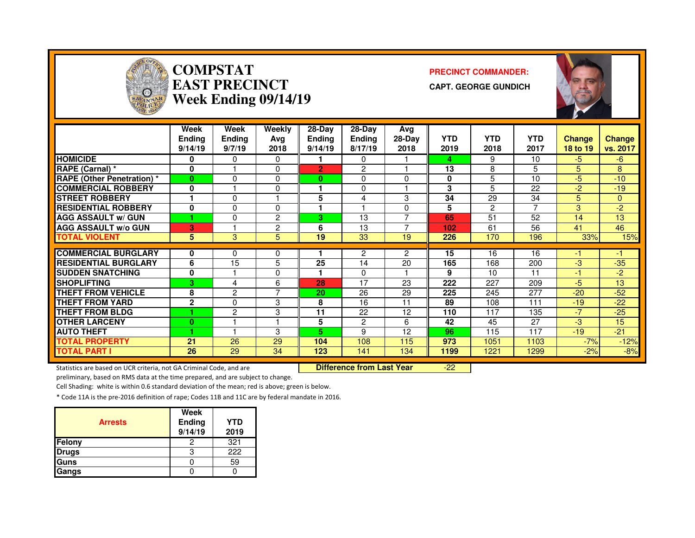

# **COMPSTAT PRECINCT COMMANDER: EAST PRECINCTWeek Ending 09/14/19**

**CAPT. GEORGE GUNDICH**



|                                   | Week<br><b>Ending</b><br>9/14/19 | <b>Week</b><br><b>Endina</b><br>9/7/19 | Weekly<br>Avg<br>2018   | 28-Day<br><b>Ending</b><br>9/14/19 | 28-Day<br><b>Ending</b><br>8/17/19 | Avg<br>28-Day<br>2018 | <b>YTD</b><br>2019 | <b>YTD</b><br>2018 | <b>YTD</b><br>2017 | <b>Change</b><br>18 to 19 | <b>Change</b><br>vs. 2017 |
|-----------------------------------|----------------------------------|----------------------------------------|-------------------------|------------------------------------|------------------------------------|-----------------------|--------------------|--------------------|--------------------|---------------------------|---------------------------|
| <b>HOMICIDE</b>                   | 0                                | 0                                      | 0                       |                                    | $\Omega$                           |                       | 4                  | 9                  | 10                 | $-5$                      | -6                        |
| <b>RAPE (Carnal)</b> *            | 0                                |                                        | 0                       | $\overline{2}$                     | 2                                  |                       | 13                 | 8                  | 5                  | 5.                        | 8                         |
| <b>RAPE (Other Penetration)</b> * | $\bf{0}$                         | $\Omega$                               | 0                       | 0                                  | $\Omega$                           | 0                     | 0                  | 5                  | 10                 | $-5$                      | $-10$                     |
| <b>COMMERCIAL ROBBERY</b>         | 0                                |                                        | 0                       |                                    | $\Omega$                           |                       | 3                  | 5                  | 22                 | $-2$                      | $-19$                     |
| <b>STREET ROBBERY</b>             |                                  | 0                                      |                         | 5                                  | 4                                  | 3                     | 34                 | 29                 | 34                 | 5                         | 0                         |
| <b>RESIDENTIAL ROBBERY</b>        | 0                                | 0                                      | 0                       |                                    |                                    | 0                     | 5                  | $\overline{2}$     |                    | 3                         | $-2$                      |
| <b>AGG ASSAULT w/ GUN</b>         |                                  | $\Omega$                               | 2                       | 3                                  | 13                                 | ⇁                     | 65                 | 51                 | 52                 | 14                        | 13                        |
| <b>AGG ASSAULT w/o GUN</b>        | 3                                |                                        | 2                       | 6                                  | 13                                 |                       | 102                | 61                 | 56                 | 41                        | 46                        |
| <b>TOTAL VIOLENT</b>              | 5                                | 3                                      | 5                       | 19                                 | 33                                 | 19                    | 226                | 170                | 196                | 33%                       | 15%                       |
|                                   |                                  |                                        |                         |                                    |                                    |                       |                    |                    |                    |                           |                           |
| <b>COMMERCIAL BURGLARY</b>        | 0                                | 0                                      | 0                       |                                    | 2                                  | 2                     | 15                 | 16                 | 16                 | -1                        | -1                        |
| <b>RESIDENTIAL BURGLARY</b>       | 6                                | 15                                     | 5                       | 25                                 | 14                                 | 20                    | 165                | 168                | 200                | -3                        | $-35$                     |
| <b>ISUDDEN SNATCHING</b>          | 0                                |                                        | 0                       |                                    | $\Omega$                           |                       | 9                  | 10                 | 11                 | -1                        | $-2$                      |
| <b>SHOPLIFTING</b>                | 3                                | 4                                      | 6                       | 28                                 | 17                                 | 23                    | 222                | 227                | 209                | $-5$                      | 13                        |
| <b>THEFT FROM VEHICLE</b>         | 8                                | $\overline{2}$                         | 7                       | 20                                 | 26                                 | 29                    | 225                | 245                | 277                | $-20$                     | $-52$                     |
| <b>THEFT FROM YARD</b>            | $\mathbf{2}$                     | 0                                      | 3                       | 8                                  | 16                                 | 11                    | 89                 | 108                | 111                | $-19$                     | $-22$                     |
| <b>THEFT FROM BLDG</b>            |                                  | $\mathbf{2}$                           | 3                       | 11                                 | 22                                 | 12                    | 110                | 117                | 135                | $-7$                      | $-25$                     |
| <b>OTHER LARCENY</b>              | $\bf{0}$                         |                                        | $\overline{\mathbf{A}}$ | 5                                  | 2                                  | 6                     | 42                 | 45                 | 27                 | -3                        | 15                        |
| <b>AUTO THEFT</b>                 | ٠                                |                                        | 3                       | 5.                                 | 9                                  | 12                    | 96                 | 115                | 117                | $-19$                     | $-21$                     |
| <b>TOTAL PROPERTY</b>             | 21                               | 26                                     | 29                      | 104                                | 108                                | 115                   | 973                | 1051               | 1103               | $-7%$                     | $-12%$                    |
| <b>TOTAL PART I</b>               | 26                               | 29                                     | 34                      | 123                                | 141                                | 134                   | 1199               | 1221               | 1299               | $-2%$                     | $-8%$                     |

Statistics are based on UCR criteria, not GA Criminal Code, and are **Difference from Last Year** 

-22

preliminary, based on RMS data at the time prepared, and are subject to change.

Cell Shading: white is within 0.6 standard deviation of the mean; red is above; green is below.

| <b>Arrests</b> | Week<br>Ending<br>9/14/19 | <b>YTD</b><br>2019 |
|----------------|---------------------------|--------------------|
| <b>Felony</b>  |                           | 321                |
| <b>Drugs</b>   |                           | 222                |
| <b>Guns</b>    |                           | 59                 |
| Gangs          |                           |                    |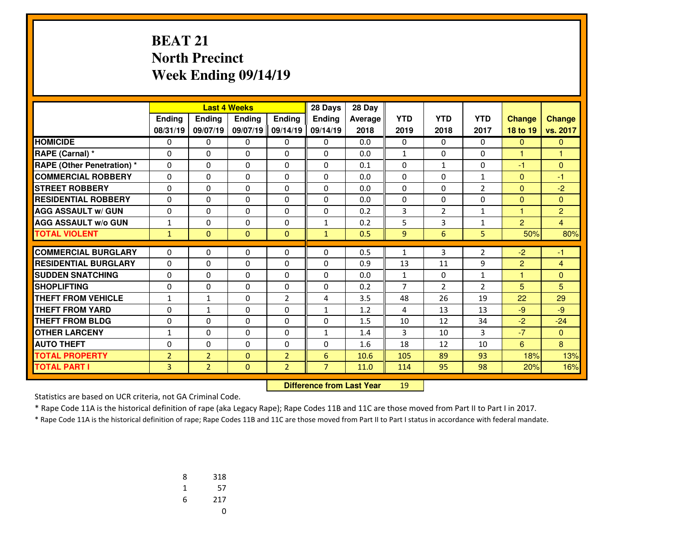#### **BEAT 21 North PrecinctWeek Ending 09/14/19**

|                                   |                |                | <b>Last 4 Weeks</b> |                | 28 Days        | 28 Day  |                |                |                |                         |                |
|-----------------------------------|----------------|----------------|---------------------|----------------|----------------|---------|----------------|----------------|----------------|-------------------------|----------------|
|                                   | Ending         | <b>Ending</b>  | <b>Endina</b>       | Ending         | <b>Endina</b>  | Average | <b>YTD</b>     | <b>YTD</b>     | <b>YTD</b>     | <b>Change</b>           | <b>Change</b>  |
|                                   | 08/31/19       | 09/07/19       | 09/07/19 09/14/19   |                | 09/14/19       | 2018    | 2019           | 2018           | 2017           | 18 to 19                | vs. 2017       |
| <b>HOMICIDE</b>                   | 0              | 0              | 0                   | 0              | $\Omega$       | 0.0     | 0              | $\Omega$       | 0              | $\mathbf{0}$            | $\mathbf{0}$   |
| RAPE (Carnal) *                   | 0              | $\Omega$       | 0                   | $\Omega$       | $\Omega$       | 0.0     | $\mathbf{1}$   | $\Omega$       | $\Omega$       | $\overline{1}$          | $\overline{1}$ |
| <b>RAPE (Other Penetration) *</b> | $\Omega$       | $\Omega$       | $\Omega$            | $\Omega$       | $\Omega$       | 0.1     | $\Omega$       | $\mathbf{1}$   | $\Omega$       | $-1$                    | $\Omega$       |
| <b>COMMERCIAL ROBBERY</b>         | 0              | $\Omega$       | 0                   | 0              | $\mathbf{0}$   | 0.0     | $\mathbf{0}$   | 0              | 1              | $\Omega$                | $-1$           |
| <b>STREET ROBBERY</b>             | $\Omega$       | $\Omega$       | $\Omega$            | $\Omega$       | $\Omega$       | 0.0     | $\Omega$       | 0              | $\overline{2}$ | $\Omega$                | $-2$           |
| <b>RESIDENTIAL ROBBERY</b>        | $\Omega$       | 0              | 0                   | 0              | $\Omega$       | 0.0     | 0              | 0              | 0              | $\Omega$                | $\Omega$       |
| <b>AGG ASSAULT w/ GUN</b>         | $\Omega$       | $\Omega$       | $\Omega$            | $\Omega$       | $\Omega$       | 0.2     | 3              | $\overline{2}$ | 1              | 1                       | $\overline{2}$ |
| <b>AGG ASSAULT w/o GUN</b>        | 1              | 0              | 0                   | 0              | 1              | 0.2     | 5              | 3              | 1              | $\overline{2}$          | 4              |
| <b>TOTAL VIOLENT</b>              | $\mathbf{1}$   | $\Omega$       | $\mathbf{0}$        | $\mathbf{0}$   | $\mathbf{1}$   | 0.5     | 9              | 6              | 5 <sup>1</sup> | 50%                     | 80%            |
| <b>COMMERCIAL BURGLARY</b>        |                |                |                     |                |                |         |                |                |                |                         |                |
|                                   | $\Omega$       | $\Omega$       | $\Omega$            | $\Omega$       | $\Omega$       | 0.5     | 1              | 3              | $\overline{2}$ | $-2$                    | -1             |
| <b>RESIDENTIAL BURGLARY</b>       | 0              | $\Omega$       | $\Omega$            | 0              | $\Omega$       | 0.9     | 13             | 11             | 9              | $\overline{2}$          | $\overline{4}$ |
| <b>SUDDEN SNATCHING</b>           | 0              | 0              | 0                   | 0              | $\mathbf{0}$   | 0.0     | $\mathbf{1}$   | $\Omega$       | 1              | $\overline{\mathbf{1}}$ | $\mathbf{0}$   |
| <b>SHOPLIFTING</b>                | 0              | $\Omega$       | $\Omega$            | $\Omega$       | $\Omega$       | 0.2     | $\overline{7}$ | $\overline{2}$ | $\overline{2}$ | 5                       | 5              |
| <b>THEFT FROM VEHICLE</b>         | $\mathbf{1}$   | $\mathbf{1}$   | 0                   | $\overline{2}$ | 4              | 3.5     | 48             | 26             | 19             | 22                      | 29             |
| <b>THEFT FROM YARD</b>            | $\Omega$       | $\mathbf{1}$   | $\Omega$            | $\Omega$       | $\mathbf{1}$   | 1.2     | 4              | 13             | 13             | $-9$                    | $-9$           |
| <b>THEFT FROM BLDG</b>            | 0              | 0              | 0                   | 0              | $\mathbf{0}$   | 1.5     | 10             | 12             | 34             | $-2$                    | $-24$          |
| <b>OTHER LARCENY</b>              | $\mathbf{1}$   | $\Omega$       | 0                   | $\Omega$       | $\mathbf{1}$   | 1.4     | 3              | 10             | 3              | $-7$                    | $\mathbf{0}$   |
| <b>AUTO THEFT</b>                 | 0              | 0              | 0                   | 0              | $\Omega$       | 1.6     | 18             | 12             | 10             | 6                       | 8              |
| <b>TOTAL PROPERTY</b>             | $\overline{2}$ | $\overline{2}$ | $\Omega$            | $\overline{2}$ | 6              | 10.6    | 105            | 89             | 93             | 18%                     | 13%            |
| <b>TOTAL PART I</b>               | 3              | $\overline{2}$ | $\mathbf{0}$        | $\overline{2}$ | $\overline{7}$ | 11.0    | 114            | 95             | 98             | 20%                     | 16%            |

 **Difference from Last Year**<sup>19</sup>

Statistics are based on UCR criteria, not GA Criminal Code.

\* Rape Code 11A is the historical definition of rape (aka Legacy Rape); Rape Codes 11B and 11C are those moved from Part II to Part I in 2017.

| 8 | 318 |
|---|-----|
| 1 | 57  |
| 6 | 217 |
|   | U   |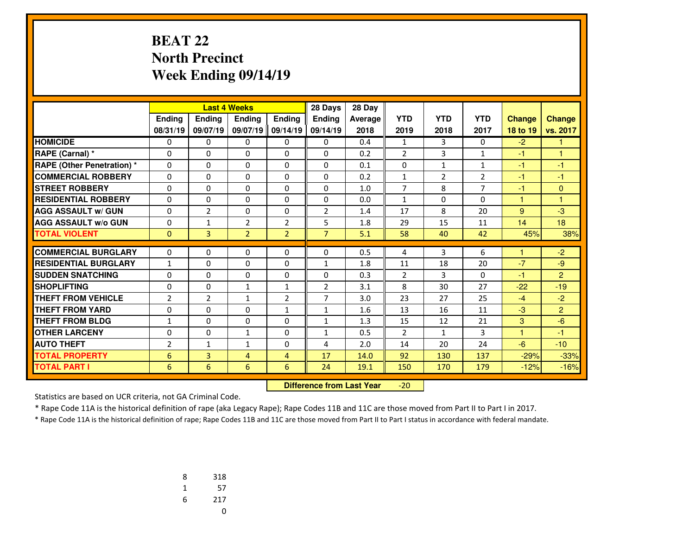#### **BEAT 22 North PrecinctWeek Ending 09/14/19**

|                                   |                |                | <b>Last 4 Weeks</b> |                | 28 Days        | 28 Day  |                |                |                |               |                |
|-----------------------------------|----------------|----------------|---------------------|----------------|----------------|---------|----------------|----------------|----------------|---------------|----------------|
|                                   | Ending         | <b>Ending</b>  | <b>Ending</b>       | <b>Endina</b>  | <b>Endina</b>  | Average | <b>YTD</b>     | <b>YTD</b>     | <b>YTD</b>     | <b>Change</b> | <b>Change</b>  |
|                                   | 08/31/19       | 09/07/19       | 09/07/19 09/14/19   |                | 09/14/19       | 2018    | 2019           | 2018           | 2017           | 18 to 19      | vs. 2017       |
| <b>HOMICIDE</b>                   | 0              | 0              | 0                   | 0              | $\Omega$       | 0.4     | $\mathbf{1}$   | 3              | 0              | $-2$          | 1              |
| RAPE (Carnal) *                   | 0              | 0              | $\Omega$            | 0              | $\Omega$       | 0.2     | $\overline{2}$ | 3              | 1              | $-1$          | 1              |
| <b>RAPE (Other Penetration)</b> * | 0              | $\Omega$       | 0                   | 0              | $\Omega$       | 0.1     | 0              | $\mathbf{1}$   | 1              | $-1$          | $-1$           |
| <b>COMMERCIAL ROBBERY</b>         | 0              | 0              | 0                   | 0              | $\mathbf{0}$   | 0.2     | $\mathbf{1}$   | $\overline{2}$ | $\overline{2}$ | $-1$          | -1             |
| <b>STREET ROBBERY</b>             | 0              | 0              | 0                   | 0              | 0              | 1.0     | 7              | 8              | $\overline{7}$ | -1            | 0              |
| <b>RESIDENTIAL ROBBERY</b>        | 0              | 0              | 0                   | 0              | $\Omega$       | 0.0     | $\mathbf{1}$   | 0              | 0              | 1             | 1              |
| <b>AGG ASSAULT w/ GUN</b>         | 0              | $\overline{2}$ | $\Omega$            | 0              | $\overline{2}$ | 1.4     | 17             | 8              | 20             | 9             | $-3$           |
| <b>AGG ASSAULT w/o GUN</b>        | 0              | $\mathbf{1}$   | $\overline{2}$      | $\overline{2}$ | 5              | 1.8     | 29             | 15             | 11             | 14            | 18             |
| <b>TOTAL VIOLENT</b>              | $\Omega$       | $\overline{3}$ | $\overline{2}$      | $\overline{2}$ | $\overline{7}$ | 5.1     | 58             | 40             | 42             | 45%           | 38%            |
| <b>COMMERCIAL BURGLARY</b>        | 0              | 0              | 0                   | 0              | $\Omega$       | 0.5     |                | 3              | 6              |               | $-2$           |
| <b>RESIDENTIAL BURGLARY</b>       |                |                |                     |                |                |         | 4              | 18             | 20             | $-7$          |                |
| <b>SUDDEN SNATCHING</b>           | $\mathbf{1}$   | 0              | 0                   | 0              | 1              | 1.8     | 11             | 3              |                | $-1$          | $-9$<br>2      |
|                                   | $\Omega$       | 0              | 0                   | 0              | $\Omega$       | 0.3     | $\overline{2}$ |                | 0              |               |                |
| <b>SHOPLIFTING</b>                | $\Omega$       | $\Omega$       | $\mathbf{1}$        | $\mathbf{1}$   | $\overline{2}$ | 3.1     | 8              | 30             | 27             | $-22$         | $-19$          |
| <b>THEFT FROM VEHICLE</b>         | $\overline{2}$ | $\overline{2}$ | $\mathbf{1}$        | $\overline{2}$ | 7              | 3.0     | 23             | 27             | 25             | $-4$          | $-2$           |
| <b>THEFT FROM YARD</b>            | 0              | 0              | 0                   | $\mathbf{1}$   | 1              | 1.6     | 13             | 16             | 11             | $-3$          | $\overline{2}$ |
| <b>THEFT FROM BLDG</b>            | $\mathbf{1}$   | $\Omega$       | $\Omega$            | $\Omega$       | $\mathbf{1}$   | 1.3     | 15             | 12             | 21             | 3             | $-6$           |
| <b>OTHER LARCENY</b>              | 0              | $\Omega$       | $\mathbf{1}$        | $\Omega$       | 1              | 0.5     | $\overline{2}$ | $\mathbf{1}$   | 3              | 4             | $-1$           |
| <b>AUTO THEFT</b>                 | $\overline{2}$ | $\mathbf{1}$   | $\mathbf{1}$        | $\Omega$       | 4              | 2.0     | 14             | 20             | 24             | $-6$          | $-10$          |
| <b>TOTAL PROPERTY</b>             | 6              | 3              | 4                   | 4              | 17             | 14.0    | 92             | 130            | 137            | $-29%$        | $-33%$         |
| <b>TOTAL PART I</b>               | 6              | 6              | 6                   | 6              | 24             | 19.1    | 150            | 170            | 179            | $-12%$        | $-16%$         |

 **Difference from Last Year**-20

Statistics are based on UCR criteria, not GA Criminal Code.

\* Rape Code 11A is the historical definition of rape (aka Legacy Rape); Rape Codes 11B and 11C are those moved from Part II to Part I in 2017.

| 8 | 318 |
|---|-----|
| 1 | 57  |
| 6 | 217 |
|   | U   |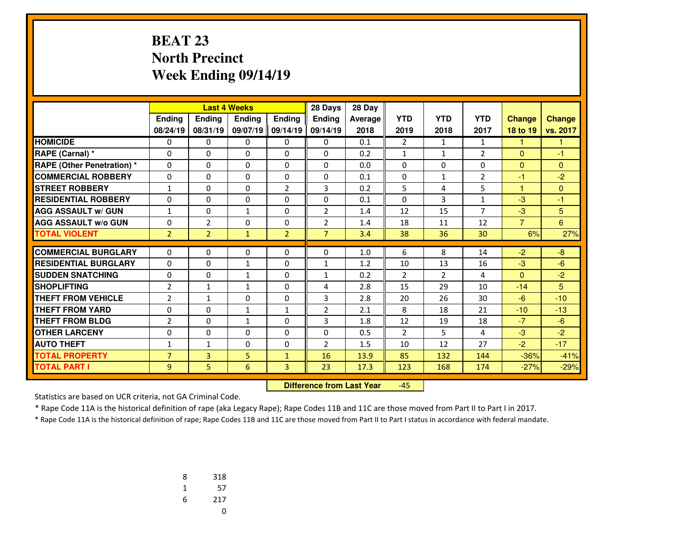#### **BEAT 23 North PrecinctWeek Ending 09/14/19**

|                             |                |                |               | <b>Last 4 Weeks</b><br>28 Days |                |         |                |                |                |                |               |
|-----------------------------|----------------|----------------|---------------|--------------------------------|----------------|---------|----------------|----------------|----------------|----------------|---------------|
|                             | Ending         | <b>Ending</b>  | <b>Endina</b> | <b>Endina</b>                  | <b>Endina</b>  | Average | <b>YTD</b>     | <b>YTD</b>     | <b>YTD</b>     | <b>Change</b>  | <b>Change</b> |
|                             | 08/24/19       | 08/31/19       | 09/07/19      | 09/14/19                       | 09/14/19       | 2018    | 2019           | 2018           | 2017           | 18 to 19       | vs. 2017      |
| <b>HOMICIDE</b>             | 0              | 0              | 0             | 0                              | 0              | 0.1     | $\overline{2}$ | 1              | 1              | 1.             | 1             |
| RAPE (Carnal) *             | 0              | 0              | $\Omega$      | 0                              | $\Omega$       | 0.2     | $\mathbf{1}$   | $\mathbf{1}$   | $\overline{2}$ | $\mathbf{0}$   | $-1$          |
| RAPE (Other Penetration) *  | $\Omega$       | 0              | $\Omega$      | $\Omega$                       | $\Omega$       | 0.0     | $\Omega$       | $\Omega$       | $\Omega$       | $\mathbf{0}$   | $\Omega$      |
| <b>COMMERCIAL ROBBERY</b>   | 0              | 0              | 0             | 0                              | 0              | 0.1     | 0              | $\mathbf{1}$   | $\overline{2}$ | -1             | $-2$          |
| <b>STREET ROBBERY</b>       | $\mathbf{1}$   | $\Omega$       | $\Omega$      | $\overline{2}$                 | 3              | 0.2     | 5              | 4              | 5              | $\mathbf{1}$   | $\Omega$      |
| <b>RESIDENTIAL ROBBERY</b>  | 0              | 0              | $\Omega$      | $\Omega$                       | 0              | 0.1     | 0              | 3              | $\mathbf{1}$   | $-3$           | $-1$          |
| <b>AGG ASSAULT w/ GUN</b>   | 1              | 0              | 1             | 0                              | $\overline{2}$ | 1.4     | 12             | 15             | 7              | $-3$           | 5             |
| <b>AGG ASSAULT w/o GUN</b>  | 0              | $\overline{2}$ | 0             | 0                              | $\overline{2}$ | 1.4     | 18             | 11             | 12             | $\overline{7}$ | 6             |
| <b>TOTAL VIOLENT</b>        | $\overline{2}$ | $\overline{2}$ | $\mathbf{1}$  | $\overline{2}$                 | $\overline{7}$ | 3.4     | 38             | 36             | 30             | 6%             | 27%           |
| <b>COMMERCIAL BURGLARY</b>  | $\Omega$       | 0              |               | 0                              | $\Omega$       | 1.0     | 6              | 8              | 14             | $-2$           | $-8$          |
| <b>RESIDENTIAL BURGLARY</b> |                |                | 0             |                                |                |         |                |                |                |                |               |
|                             | $\Omega$       | 0              | $\mathbf{1}$  | $\Omega$                       | $\mathbf{1}$   | 1.2     | 10             | 13             | 16             | $-3$           | $-6$          |
| <b>SUDDEN SNATCHING</b>     | $\Omega$       | 0              | $\mathbf{1}$  | $\Omega$                       | $\mathbf{1}$   | 0.2     | $\overline{2}$ | $\overline{2}$ | 4              | $\mathbf{0}$   | $-2$          |
| <b>SHOPLIFTING</b>          | $\overline{2}$ | $\mathbf{1}$   | $\mathbf{1}$  | 0                              | 4              | 2.8     | 15             | 29             | 10             | $-14$          | 5             |
| <b>THEFT FROM VEHICLE</b>   | $\overline{2}$ | $\mathbf{1}$   | 0             | 0                              | 3              | 2.8     | 20             | 26             | 30             | $-6$           | $-10$         |
| <b>THEFT FROM YARD</b>      | 0              | 0              | $\mathbf{1}$  | $\mathbf{1}$                   | $\overline{2}$ | 2.1     | 8              | 18             | 21             | $-10$          | $-13$         |
| <b>THEFT FROM BLDG</b>      | $\overline{2}$ | 0              | $\mathbf{1}$  | $\Omega$                       | 3              | 1.8     | 12             | 19             | 18             | $-7$           | $-6$          |
| <b>OTHER LARCENY</b>        | 0              | 0              | 0             | 0                              | $\Omega$       | 0.5     | $\overline{2}$ | 5              | 4              | $-3$           | $-2$          |
| <b>AUTO THEFT</b>           | 1              | $\mathbf{1}$   | 0             | 0                              | $\overline{2}$ | 1.5     | 10             | 12             | 27             | $-2$           | $-17$         |
| <b>TOTAL PROPERTY</b>       | $\overline{7}$ | $\overline{3}$ | 5             | $\mathbf{1}$                   | 16             | 13.9    | 85             | 132            | 144            | $-36%$         | $-41%$        |
| <b>TOTAL PART I</b>         | 9              | 5.             | 6             | 3                              | 23             | 17.3    | 123            | 168            | 174            | $-27%$         | $-29%$        |

 **Difference from Last Year**-45

Statistics are based on UCR criteria, not GA Criminal Code.

\* Rape Code 11A is the historical definition of rape (aka Legacy Rape); Rape Codes 11B and 11C are those moved from Part II to Part I in 2017.

| 8 | 318 |
|---|-----|
| 1 | 57  |
| 6 | 217 |
|   | U   |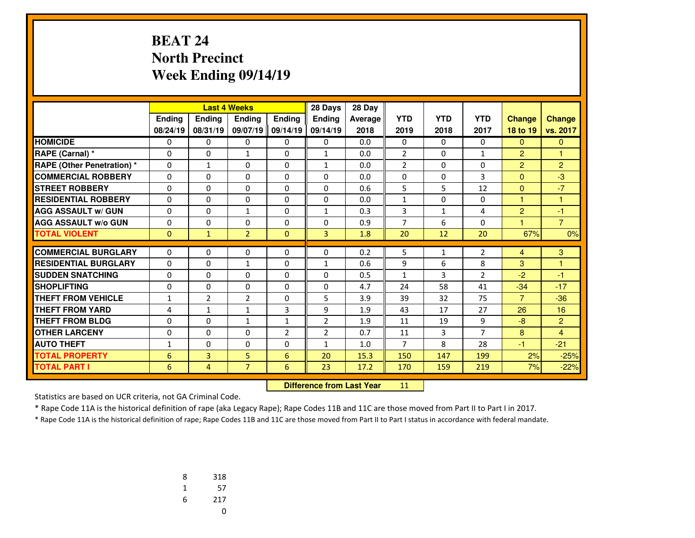#### **BEAT 24 North PrecinctWeek Ending 09/14/19**

|                                   |              |                | <b>Last 4 Weeks</b><br>28 Days |               |                | 28 Day  |                |              |                |                |                |
|-----------------------------------|--------------|----------------|--------------------------------|---------------|----------------|---------|----------------|--------------|----------------|----------------|----------------|
|                                   | Ending       | <b>Ending</b>  | <b>Endina</b>                  | <b>Endina</b> | <b>Endina</b>  | Average | <b>YTD</b>     | <b>YTD</b>   | <b>YTD</b>     | <b>Change</b>  | <b>Change</b>  |
|                                   | 08/24/19     | 08/31/19       | 09/07/19                       | 09/14/19      | 09/14/19       | 2018    | 2019           | 2018         | 2017           | 18 to 19       | vs. 2017       |
| <b>HOMICIDE</b>                   | 0            | 0              | 0                              | 0             | 0              | 0.0     | 0              | $\Omega$     | 0              | $\overline{0}$ | $\mathbf{0}$   |
| RAPE (Carnal) *                   | 0            | 0              | $\mathbf{1}$                   | 0             | $\mathbf{1}$   | 0.0     | $\overline{2}$ | $\Omega$     | 1              | $\overline{2}$ | 1              |
| <b>RAPE (Other Penetration) *</b> | $\Omega$     | $\mathbf{1}$   | $\Omega$                       | $\Omega$      | $\mathbf{1}$   | 0.0     | $\overline{2}$ | $\Omega$     | $\Omega$       | $\overline{2}$ | $\overline{2}$ |
| <b>COMMERCIAL ROBBERY</b>         | $\Omega$     | $\Omega$       | $\Omega$                       | $\Omega$      | $\Omega$       | 0.0     | $\Omega$       | $\Omega$     | 3              | $\mathbf{0}$   | $-3$           |
| <b>STREET ROBBERY</b>             | $\Omega$     | 0              | $\Omega$                       | $\Omega$      | $\Omega$       | 0.6     | 5              | 5            | 12             | $\mathbf{0}$   | $-7$           |
| <b>RESIDENTIAL ROBBERY</b>        | 0            | 0              | 0                              | 0             | $\Omega$       | 0.0     | $\mathbf{1}$   | $\Omega$     | $\Omega$       | $\mathbf{1}$   | 1              |
| <b>AGG ASSAULT w/ GUN</b>         | 0            | 0              | $\mathbf{1}$                   | $\Omega$      | $\mathbf{1}$   | 0.3     | 3              | $\mathbf{1}$ | 4              | $\overline{2}$ | $-1$           |
| <b>AGG ASSAULT w/o GUN</b>        | 0            | 0              | 0                              | 0             | $\Omega$       | 0.9     | $\overline{7}$ | 6            | $\Omega$       | 1              | $\overline{7}$ |
| <b>TOTAL VIOLENT</b>              | $\mathbf{0}$ | $\mathbf{1}$   | $\overline{2}$                 | $\mathbf{0}$  | 3              | 1.8     | 20             | 12           | 20             | 67%            | 0%             |
|                                   |              |                |                                |               |                |         |                |              |                |                |                |
| <b>COMMERCIAL BURGLARY</b>        | 0            | 0              | 0                              | 0             | 0              | 0.2     | 5              | $\mathbf{1}$ | $\overline{2}$ | $\overline{4}$ | 3              |
| <b>RESIDENTIAL BURGLARY</b>       | $\Omega$     | 0              | $\mathbf{1}$                   | 0             | $\mathbf{1}$   | 0.6     | 9              | 6            | 8              | 3              | 1              |
| <b>SUDDEN SNATCHING</b>           | $\Omega$     | 0              | $\Omega$                       | $\Omega$      | $\Omega$       | 0.5     | $\mathbf{1}$   | 3            | $\overline{2}$ | $-2$           | $-1$           |
| <b>SHOPLIFTING</b>                | 0            | 0              | 0                              | 0             | $\Omega$       | 4.7     | 24             | 58           | 41             | $-34$          | $-17$          |
| <b>THEFT FROM VEHICLE</b>         | $\mathbf{1}$ | $\overline{2}$ | $\overline{2}$                 | $\Omega$      | 5              | 3.9     | 39             | 32           | 75             | $\overline{7}$ | $-36$          |
| <b>THEFT FROM YARD</b>            | 4            | $\mathbf{1}$   | $\mathbf{1}$                   | 3             | 9              | 1.9     | 43             | 17           | 27             | 26             | 16             |
| <b>THEFT FROM BLDG</b>            | 0            | $\Omega$       | $\mathbf{1}$                   | $\mathbf{1}$  | $\overline{2}$ | 1.9     | 11             | 19           | 9              | $-8$           | 2              |
| <b>OTHER LARCENY</b>              | 0            | $\Omega$       | 0                              | 2             | $\overline{2}$ | 0.7     | 11             | 3            | $\overline{7}$ | 8              | $\overline{4}$ |
| <b>AUTO THEFT</b>                 | 1            | 0              | 0                              | 0             | 1              | 1.0     | $\overline{7}$ | 8            | 28             | $-1$           | $-21$          |
| <b>TOTAL PROPERTY</b>             | 6            | $\overline{3}$ | 5                              | 6             | 20             | 15.3    | 150            | 147          | 199            | 2%             | $-25%$         |
| <b>TOTAL PART I</b>               | 6            | $\overline{4}$ | $\overline{7}$                 | 6             | 23             | 17.2    | 170            | 159          | 219            | 7%             | $-22%$         |

 **Difference from Last Year**<sup>11</sup>

Statistics are based on UCR criteria, not GA Criminal Code.

\* Rape Code 11A is the historical definition of rape (aka Legacy Rape); Rape Codes 11B and 11C are those moved from Part II to Part I in 2017.

| 8 | 318 |
|---|-----|
| 1 | 57  |
| 6 | 217 |
|   | U   |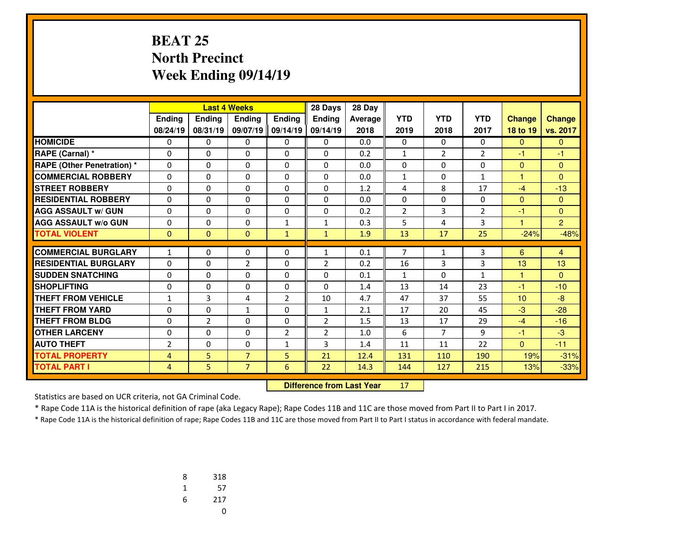## **BEAT 25 North PrecinctWeek Ending 09/14/19**

|                                   |                |                | <b>Last 4 Weeks</b> |                | 28 Days        | 28 Day  |                |                |                |               |                |
|-----------------------------------|----------------|----------------|---------------------|----------------|----------------|---------|----------------|----------------|----------------|---------------|----------------|
|                                   | Ending         | <b>Endina</b>  | <b>Endina</b>       | Ending         | <b>Endina</b>  | Average | <b>YTD</b>     | <b>YTD</b>     | <b>YTD</b>     | <b>Change</b> | <b>Change</b>  |
|                                   | 08/24/19       | 08/31/19       | 09/07/19            | 09/14/19       | 09/14/19       | 2018    | 2019           | 2018           | 2017           | 18 to 19      | vs. 2017       |
| <b>HOMICIDE</b>                   | 0              | 0              | 0                   | 0              | 0              | 0.0     | 0              | 0              | $\Omega$       | $\mathbf{0}$  | $\mathbf{0}$   |
| <b>RAPE (Carnal) *</b>            | 0              | 0              | 0                   | $\Omega$       | $\Omega$       | 0.2     | $\mathbf{1}$   | $\overline{2}$ | $\overline{2}$ | -1            | $-1$           |
| <b>RAPE (Other Penetration) *</b> | 0              | $\Omega$       | $\Omega$            | 0              | $\Omega$       | 0.0     | 0              | $\Omega$       | $\Omega$       | $\mathbf{0}$  | $\mathbf{0}$   |
| <b>COMMERCIAL ROBBERY</b>         | 0              | 0              | $\Omega$            | $\Omega$       | $\Omega$       | 0.0     | $\mathbf{1}$   | $\Omega$       | $\mathbf{1}$   | 1             | $\Omega$       |
| <b>STREET ROBBERY</b>             | 0              | $\Omega$       | $\Omega$            | 0              | $\Omega$       | 1.2     | 4              | 8              | 17             | $-4$          | $-13$          |
| <b>RESIDENTIAL ROBBERY</b>        | 0              | 0              | $\Omega$            | $\Omega$       | $\Omega$       | 0.0     | $\Omega$       | $\Omega$       | $\Omega$       | $\mathbf{0}$  | $\Omega$       |
| <b>AGG ASSAULT w/ GUN</b>         | 0              | 0              | 0                   | 0              | $\Omega$       | 0.2     | $\overline{2}$ | 3              | $\overline{2}$ | -1            | $\Omega$       |
| <b>AGG ASSAULT w/o GUN</b>        | 0              | 0              | $\Omega$            | $\mathbf{1}$   | $\mathbf{1}$   | 0.3     | 5              | 4              | 3              | 1             | 2              |
| <b>TOTAL VIOLENT</b>              | $\Omega$       | $\mathbf{0}$   | $\Omega$            | $\mathbf{1}$   | $\mathbf{1}$   | 1.9     | 13             | 17             | 25             | $-24%$        | $-48%$         |
|                                   |                |                |                     |                |                |         |                |                |                |               |                |
| <b>COMMERCIAL BURGLARY</b>        | $\mathbf{1}$   | 0              | 0                   | 0              | 1              | 0.1     | $\overline{7}$ | 1              | 3              | 6             | $\overline{4}$ |
| <b>RESIDENTIAL BURGLARY</b>       | 0              | 0              | $\overline{2}$      | 0              | 2              | 0.2     | 16             | 3              | 3              | 13            | 13             |
| <b>SUDDEN SNATCHING</b>           | $\Omega$       | 0              | $\Omega$            | $\Omega$       | $\Omega$       | 0.1     | $\mathbf{1}$   | $\Omega$       | $\mathbf{1}$   | $\mathbf{1}$  | $\Omega$       |
| <b>SHOPLIFTING</b>                | $\Omega$       | 0              | 0                   | $\Omega$       | $\Omega$       | 1.4     | 13             | 14             | 23             | $-1$          | $-10$          |
| <b>THEFT FROM VEHICLE</b>         | 1              | 3              | 4                   | $\overline{2}$ | 10             | 4.7     | 47             | 37             | 55             | 10            | $-8$           |
| <b>THEFT FROM YARD</b>            | $\Omega$       | 0              | $\mathbf{1}$        | $\Omega$       | $\mathbf{1}$   | 2.1     | 17             | 20             | 45             | $-3$          | $-28$          |
| <b>THEFT FROM BLDG</b>            | 0              | $\overline{2}$ | $\Omega$            | 0              | 2              | 1.5     | 13             | 17             | 29             | $-4$          | $-16$          |
| <b>OTHER LARCENY</b>              | $\Omega$       | 0              | $\Omega$            | $\overline{2}$ | $\overline{2}$ | 1.0     | 6              | $\overline{7}$ | 9              | $-1$          | $-3$           |
| <b>AUTO THEFT</b>                 | $\overline{2}$ | $\Omega$       | 0                   | $\mathbf{1}$   | 3              | 1.4     | 11             | 11             | 22             | $\mathbf{0}$  | $-11$          |
| <b>TOTAL PROPERTY</b>             | $\overline{4}$ | 5              | $\overline{7}$      | 5              | 21             | 12.4    | 131            | 110            | 190            | 19%           | $-31%$         |
| <b>TOTAL PART I</b>               | 4              | 5.             | $\overline{7}$      | 6              | 22             | 14.3    | 144            | 127            | 215            | 13%           | $-33%$         |

 **Difference from Last Year**<sup>17</sup>

Statistics are based on UCR criteria, not GA Criminal Code.

\* Rape Code 11A is the historical definition of rape (aka Legacy Rape); Rape Codes 11B and 11C are those moved from Part II to Part I in 2017.

| 8 | 318 |
|---|-----|
| 1 | 57  |
| 6 | 217 |
|   | U   |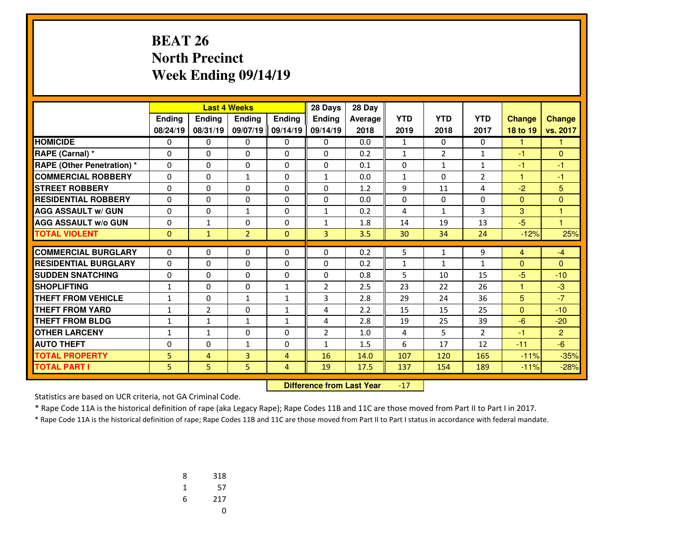### **BEAT 26 North PrecinctWeek Ending 09/14/19**

|                                   |              |                | <b>Last 4 Weeks</b> |                | 28 Days        | 28 Day  |              |                |                |                |                |
|-----------------------------------|--------------|----------------|---------------------|----------------|----------------|---------|--------------|----------------|----------------|----------------|----------------|
|                                   | Ending       | Ending         | <b>Endina</b>       | Ending         | <b>Endina</b>  | Average | <b>YTD</b>   | <b>YTD</b>     | <b>YTD</b>     | <b>Change</b>  | <b>Change</b>  |
|                                   | 08/24/19     | 08/31/19       | 09/07/19            | 09/14/19       | 09/14/19       | 2018    | 2019         | 2018           | 2017           | 18 to 19       | vs. 2017       |
| <b>HOMICIDE</b>                   | 0            | 0              | 0                   | 0              | 0              | 0.0     | $\mathbf{1}$ | 0              | 0              |                |                |
| RAPE (Carnal) *                   | 0            | 0              | 0                   | 0              | 0              | 0.2     | $\mathbf{1}$ | $\overline{2}$ | 1              | -1             | $\Omega$       |
| <b>RAPE (Other Penetration) *</b> | $\Omega$     | $\Omega$       | $\Omega$            | $\Omega$       | $\Omega$       | 0.1     | $\Omega$     | $\mathbf{1}$   | $\mathbf{1}$   | $-1$           | $-1$           |
| <b>COMMERCIAL ROBBERY</b>         | $\Omega$     | $\Omega$       | $\mathbf{1}$        | $\Omega$       | $\mathbf{1}$   | 0.0     | $\mathbf{1}$ | $\Omega$       | $\overline{2}$ | 1              | $-1$           |
| <b>STREET ROBBERY</b>             | $\Omega$     | $\Omega$       | $\Omega$            | $\Omega$       | $\Omega$       | 1.2     | 9            | 11             | 4              | $-2$           | 5              |
| <b>RESIDENTIAL ROBBERY</b>        | 0            | 0              | 0                   | 0              | $\Omega$       | 0.0     | 0            | $\Omega$       | 0              | $\mathbf{0}$   | $\Omega$       |
| <b>AGG ASSAULT w/ GUN</b>         | $\Omega$     | $\Omega$       | $\mathbf{1}$        | $\Omega$       | $\mathbf{1}$   | 0.2     | 4            | $\mathbf{1}$   | 3              | 3              | 1              |
| <b>AGG ASSAULT w/o GUN</b>        | 0            | $\mathbf{1}$   | 0                   | 0              | $\mathbf{1}$   | 1.8     | 14           | 19             | 13             | $-5$           | 1              |
| <b>TOTAL VIOLENT</b>              | $\mathbf{0}$ | $\mathbf{1}$   | $\overline{2}$      | $\mathbf{0}$   | 3              | 3.5     | 30           | 34             | 24             | $-12%$         | 25%            |
|                                   |              |                |                     |                |                |         |              |                |                |                |                |
| <b>COMMERCIAL BURGLARY</b>        | 0            | 0              | 0                   | 0              | $\mathbf{0}$   | 0.2     | 5            | 1              | 9              | $\overline{4}$ | $-4$           |
| <b>RESIDENTIAL BURGLARY</b>       | $\Omega$     | $\Omega$       | $\Omega$            | $\Omega$       | $\Omega$       | 0.2     | $\mathbf{1}$ | $\mathbf{1}$   | $\mathbf{1}$   | $\Omega$       | $\mathbf{0}$   |
| <b>SUDDEN SNATCHING</b>           | 0            | $\Omega$       | $\Omega$            | $\Omega$       | $\Omega$       | 0.8     | 5            | 10             | 15             | $-5$           | $-10$          |
| <b>SHOPLIFTING</b>                | 1            | $\Omega$       | 0                   | $\mathbf{1}$   | $\overline{2}$ | 2.5     | 23           | 22             | 26             | 1              | $-3$           |
| <b>THEFT FROM VEHICLE</b>         | $\mathbf{1}$ | $\Omega$       | $\mathbf{1}$        | $\mathbf{1}$   | 3              | 2.8     | 29           | 24             | 36             | 5              | $-7$           |
| <b>THEFT FROM YARD</b>            | $\mathbf{1}$ | $\overline{2}$ | $\Omega$            | $\mathbf{1}$   | 4              | 2.2     | 15           | 15             | 25             | $\Omega$       | $-10$          |
| <b>THEFT FROM BLDG</b>            | $\mathbf{1}$ | $\mathbf{1}$   | $\mathbf{1}$        | $\mathbf{1}$   | 4              | 2.8     | 19           | 25             | 39             | $-6$           | $-20$          |
| <b>OTHER LARCENY</b>              | $\mathbf{1}$ | $\mathbf{1}$   | 0                   | $\Omega$       | $\overline{2}$ | 1.0     | 4            | 5              | $\overline{2}$ | $-1$           | $\overline{2}$ |
| <b>AUTO THEFT</b>                 | 0            | 0              | $\mathbf{1}$        | 0              | $\mathbf{1}$   | 1.5     | 6            | 17             | 12             | $-11$          | $-6$           |
| <b>TOTAL PROPERTY</b>             | 5            | 4              | 3                   | $\overline{4}$ | 16             | 14.0    | 107          | 120            | 165            | $-11%$         | $-35%$         |
| <b>TOTAL PART I</b>               | 5            | 5.             | 5                   | 4              | 19             | 17.5    | 137          | 154            | 189            | $-11%$         | $-28%$         |

 **Difference from Last Year** $-17$ 

Statistics are based on UCR criteria, not GA Criminal Code.

\* Rape Code 11A is the historical definition of rape (aka Legacy Rape); Rape Codes 11B and 11C are those moved from Part II to Part I in 2017.

| 8 | 318 |
|---|-----|
| 1 | 57  |
| 6 | 217 |
|   | 0   |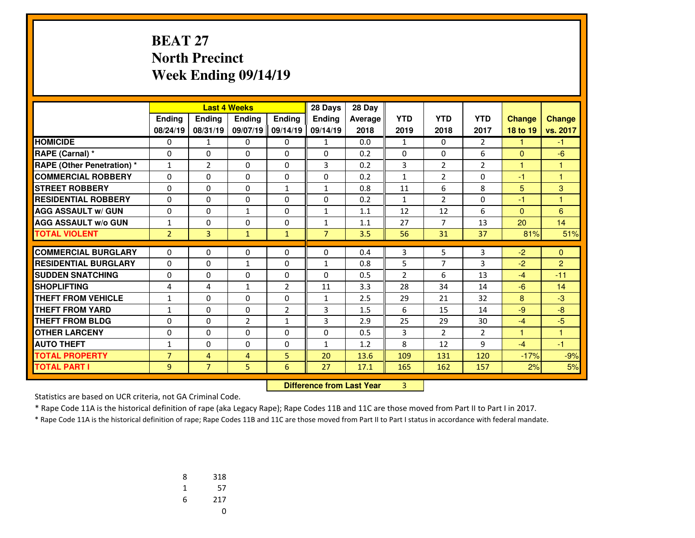#### **BEAT 27 North PrecinctWeek Ending 09/14/19**

|                                   |                |                | <b>Last 4 Weeks</b> |                | 28 Days                          | 28 Day  |                |                |                |               |                |
|-----------------------------------|----------------|----------------|---------------------|----------------|----------------------------------|---------|----------------|----------------|----------------|---------------|----------------|
|                                   | <b>Ending</b>  | <b>Ending</b>  | Ending              | <b>Ending</b>  | Ending                           | Average | <b>YTD</b>     | <b>YTD</b>     | <b>YTD</b>     | <b>Change</b> | <b>Change</b>  |
|                                   | 08/24/19       | 08/31/19       | 09/07/19            | 09/14/19       | 09/14/19                         | 2018    | 2019           | 2018           | 2017           | 18 to 19      | vs. 2017       |
| <b>HOMICIDE</b>                   | 0              | $\mathbf{1}$   | 0                   | 0              | $\mathbf{1}$                     | 0.0     | $\mathbf{1}$   | $\Omega$       | $\overline{2}$ | 1             | $-1$           |
| RAPE (Carnal) *                   | 0              | $\Omega$       | $\Omega$            | 0              | $\Omega$                         | 0.2     | 0              | 0              | 6              | $\mathbf{0}$  | $-6$           |
| <b>RAPE (Other Penetration) *</b> | 1              | $\overline{2}$ | $\Omega$            | 0              | 3                                | 0.2     | 3              | $\overline{2}$ | $\overline{2}$ | 1             | 1              |
| <b>COMMERCIAL ROBBERY</b>         | 0              | $\Omega$       | 0                   | 0              | 0                                | 0.2     | $\mathbf{1}$   | $\overline{2}$ | 0              | -1            | 1              |
| <b>STREET ROBBERY</b>             | 0              | 0              | $\Omega$            | $\mathbf{1}$   | $\mathbf{1}$                     | 0.8     | 11             | 6              | 8              | 5             | 3              |
| <b>RESIDENTIAL ROBBERY</b>        | $\Omega$       | $\Omega$       | 0                   | $\Omega$       | $\Omega$                         | 0.2     | $\mathbf{1}$   | $\overline{2}$ | 0              | -1            | 1              |
| <b>AGG ASSAULT w/ GUN</b>         | 0              | 0              | $\mathbf{1}$        | 0              | 1                                | 1.1     | 12             | 12             | 6              | $\mathbf{0}$  | 6              |
| <b>AGG ASSAULT w/o GUN</b>        | $\mathbf{1}$   | 0              | 0                   | 0              | $\mathbf{1}$                     | 1.1     | 27             | 7              | 13             | 20            | 14             |
| <b>TOTAL VIOLENT</b>              | $\overline{2}$ | 3              | $\mathbf{1}$        | $\mathbf{1}$   | $\overline{7}$                   | 3.5     | 56             | 31             | 37             | 81%           | 51%            |
| <b>COMMERCIAL BURGLARY</b>        | $\Omega$       | $\Omega$       | 0                   | 0              | $\Omega$                         | 0.4     | 3              | 5              | 3              | $-2$          | $\mathbf{0}$   |
| <b>RESIDENTIAL BURGLARY</b>       | $\Omega$       | $\Omega$       | $\mathbf{1}$        | $\Omega$       | $\mathbf{1}$                     | 0.8     | 5              | $\overline{7}$ | 3              | $-2$          | $\overline{2}$ |
| <b>SUDDEN SNATCHING</b>           | 0              | $\Omega$       | $\Omega$            | $\Omega$       | $\Omega$                         | 0.5     | $\overline{2}$ | 6              | 13             | $-4$          | $-11$          |
| <b>SHOPLIFTING</b>                | 4              | 4              | $\mathbf{1}$        | $\overline{2}$ | 11                               | 3.3     | 28             | 34             | 14             | $-6$          | 14             |
| <b>THEFT FROM VEHICLE</b>         | $\mathbf{1}$   | $\Omega$       | $\Omega$            | $\Omega$       | $\mathbf{1}$                     | 2.5     | 29             | 21             | 32             | 8             | $-3$           |
| <b>THEFT FROM YARD</b>            | 1              | $\Omega$       | $\Omega$            | 2              | 3                                | 1.5     | 6              | 15             | 14             | $-9$          | $-8$           |
| <b>THEFT FROM BLDG</b>            | 0              | 0              | $\overline{2}$      | $\mathbf{1}$   | 3                                | 2.9     | 25             | 29             | 30             | $-4$          | $-5$           |
| <b>OTHER LARCENY</b>              | 0              | 0              | $\Omega$            | 0              | $\Omega$                         | 0.5     | 3              | 2              | $\overline{2}$ | 1             | 1              |
| <b>AUTO THEFT</b>                 | 1              | $\Omega$       | $\Omega$            | 0              | $\mathbf{1}$                     | 1.2     | 8              | 12             | 9              | $-4$          | $-1$           |
| <b>TOTAL PROPERTY</b>             | $\overline{7}$ | 4              | $\overline{4}$      | 5              | 20                               | 13.6    | 109            | 131            | 120            | $-17%$        | $-9%$          |
| <b>TOTAL PART I</b>               | 9              | $\overline{7}$ | 5                   | 6              | 27                               | 17.1    | 165            | 162            | 157            | 2%            | 5%             |
|                                   |                |                |                     |                | <b>Difference from Last Year</b> |         | 3              |                |                |               |                |

 **Difference from Last Year**

Statistics are based on UCR criteria, not GA Criminal Code.

\* Rape Code 11A is the historical definition of rape (aka Legacy Rape); Rape Codes 11B and 11C are those moved from Part II to Part I in 2017.

| 8 | 318 |
|---|-----|
| 1 | 57  |
| 6 | 217 |
|   | U   |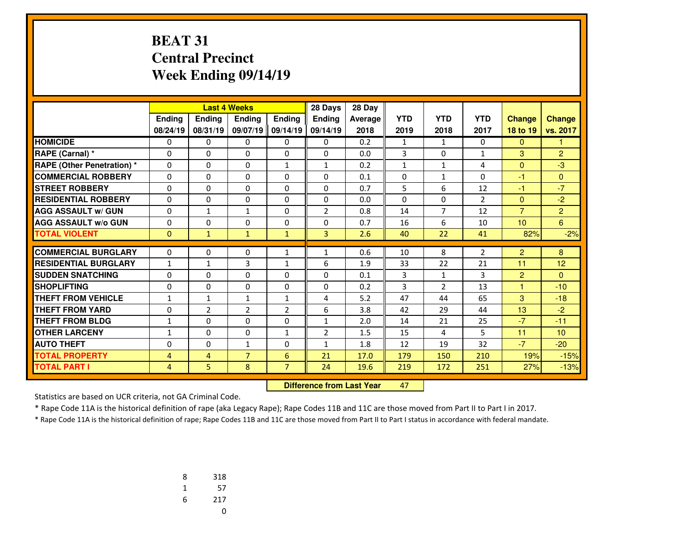#### **BEAT 31 Central PrecinctWeek Ending 09/14/19**

|                                   |                |                | <b>Last 4 Weeks</b> |                | 28 Days        | 28 Day  |            |                |                |                |                |
|-----------------------------------|----------------|----------------|---------------------|----------------|----------------|---------|------------|----------------|----------------|----------------|----------------|
|                                   | Ending         | <b>Ending</b>  | <b>Endina</b>       | Ending         | <b>Endina</b>  | Average | <b>YTD</b> | <b>YTD</b>     | <b>YTD</b>     | <b>Change</b>  | <b>Change</b>  |
|                                   | 08/24/19       | 08/31/19       | 09/07/19            | 09/14/19       | 09/14/19       | 2018    | 2019       | 2018           | 2017           | 18 to 19       | vs. 2017       |
| <b>HOMICIDE</b>                   | 0              | 0              | 0                   | 0              | 0              | 0.2     | 1          | 1              | $\Omega$       | $\mathbf{0}$   | 1              |
| <b>RAPE (Carnal) *</b>            | 0              | $\Omega$       | 0                   | $\Omega$       | $\Omega$       | 0.0     | 3          | $\Omega$       | $\mathbf{1}$   | 3              | $\overline{2}$ |
| <b>RAPE (Other Penetration) *</b> | 0              | $\Omega$       | $\Omega$            | 1              | 1              | 0.2     | 1          | $\mathbf{1}$   | 4              | $\mathbf{0}$   | $-3$           |
| <b>COMMERCIAL ROBBERY</b>         | $\Omega$       | $\Omega$       | $\Omega$            | $\Omega$       | $\Omega$       | 0.1     | $\Omega$   | $\mathbf{1}$   | $\Omega$       | $-1$           | $\Omega$       |
| <b>STREET ROBBERY</b>             | 0              | 0              | 0                   | $\mathbf{0}$   | $\Omega$       | 0.7     | 5          | 6              | 12             | $-1$           | $-7$           |
| <b>RESIDENTIAL ROBBERY</b>        | 0              | 0              | $\Omega$            | $\Omega$       | $\mathbf{0}$   | 0.0     | $\Omega$   | 0              | $\overline{2}$ | $\mathbf{0}$   | $-2$           |
| <b>AGG ASSAULT w/ GUN</b>         | 0              | $\mathbf{1}$   | $\mathbf{1}$        | $\mathbf{0}$   | $\overline{2}$ | 0.8     | 14         | $\overline{7}$ | 12             | $\overline{7}$ | $\overline{2}$ |
| <b>AGG ASSAULT w/o GUN</b>        | 0              | $\Omega$       | $\Omega$            | $\Omega$       | $\Omega$       | 0.7     | 16         | 6              | 10             | 10             | 6              |
| <b>TOTAL VIOLENT</b>              | $\Omega$       | $\mathbf{1}$   | $\mathbf{1}$        | $\mathbf{1}$   | $\overline{3}$ | 2.6     | 40         | 22             | 41             | 82%            | $-2%$          |
| <b>COMMERCIAL BURGLARY</b>        |                |                |                     |                |                |         |            |                |                |                |                |
|                                   | 0              | 0              | 0                   | 1              | 1              | 0.6     | 10         | 8              | $\overline{2}$ | $\overline{2}$ | 8              |
| <b>RESIDENTIAL BURGLARY</b>       | $\mathbf{1}$   | $\mathbf{1}$   | 3                   | $\mathbf{1}$   | 6              | 1.9     | 33         | 22             | 21             | 11             | 12             |
| <b>SUDDEN SNATCHING</b>           | $\Omega$       | $\Omega$       | $\Omega$            | $\Omega$       | $\mathbf{0}$   | 0.1     | 3          | $\mathbf{1}$   | 3              | $\overline{2}$ | $\Omega$       |
| <b>SHOPLIFTING</b>                | $\Omega$       | $\Omega$       | $\Omega$            | 0              | $\mathbf{0}$   | 0.2     | 3          | $\overline{2}$ | 13             | $\mathbf{1}$   | $-10$          |
| <b>THEFT FROM VEHICLE</b>         | $\mathbf{1}$   | $\mathbf{1}$   | $\mathbf{1}$        | 1              | 4              | 5.2     | 47         | 44             | 65             | 3              | $-18$          |
| <b>THEFT FROM YARD</b>            | $\Omega$       | $\overline{2}$ | $\overline{2}$      | $\overline{2}$ | 6              | 3.8     | 42         | 29             | 44             | 13             | $-2$           |
| <b>THEFT FROM BLDG</b>            | $\mathbf{1}$   | 0              | $\Omega$            | $\Omega$       | $\mathbf{1}$   | 2.0     | 14         | 21             | 25             | $-7$           | $-11$          |
| <b>OTHER LARCENY</b>              | $\mathbf{1}$   | $\Omega$       | $\Omega$            | $\mathbf{1}$   | $\overline{2}$ | 1.5     | 15         | 4              | 5              | 11             | 10             |
| <b>AUTO THEFT</b>                 | 0              | 0              | $\mathbf{1}$        | $\Omega$       | $\mathbf{1}$   | 1.8     | 12         | 19             | 32             | $-7$           | $-20$          |
| <b>TOTAL PROPERTY</b>             | $\overline{4}$ | 4              | $\overline{7}$      | 6              | 21             | 17.0    | 179        | 150            | 210            | 19%            | $-15%$         |
| <b>TOTAL PART I</b>               | 4              | 5              | 8                   | $\overline{7}$ | 24             | 19.6    | 219        | 172            | 251            | 27%            | $-13%$         |

 **Difference from Last Year**<sup>47</sup>

Statistics are based on UCR criteria, not GA Criminal Code.

\* Rape Code 11A is the historical definition of rape (aka Legacy Rape); Rape Codes 11B and 11C are those moved from Part II to Part I in 2017.

| 8 | 318 |
|---|-----|
| 1 | 57  |
| 6 | 217 |
|   | U   |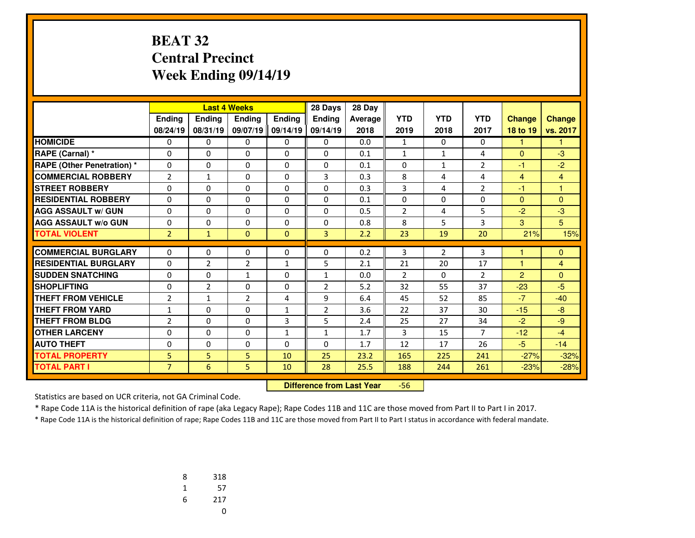#### **BEAT 32 Central PrecinctWeek Ending 09/14/19**

|                                   |                |                | <b>Last 4 Weeks</b> |               | 28 Days        | 28 Day  |                |              |                |                |                |
|-----------------------------------|----------------|----------------|---------------------|---------------|----------------|---------|----------------|--------------|----------------|----------------|----------------|
|                                   | Ending         | Ending         | <b>Endina</b>       | <b>Endina</b> | <b>Endina</b>  | Average | <b>YTD</b>     | <b>YTD</b>   | <b>YTD</b>     | <b>Change</b>  | <b>Change</b>  |
|                                   | 08/24/19       | 08/31/19       | 09/07/19            | 09/14/19      | 09/14/19       | 2018    | 2019           | 2018         | 2017           | 18 to 19       | vs. 2017       |
| <b>HOMICIDE</b>                   | 0              | 0              | 0                   | 0             | 0              | 0.0     | $\mathbf{1}$   | $\Omega$     | 0              | 1              | 1              |
| RAPE (Carnal) *                   | 0              | $\Omega$       | $\Omega$            | 0             | $\Omega$       | 0.1     | 1              | $\mathbf{1}$ | 4              | $\Omega$       | $-3$           |
| <b>RAPE (Other Penetration) *</b> | 0              | $\Omega$       | $\Omega$            | 0             | $\Omega$       | 0.1     | 0              | $\mathbf{1}$ | $\overline{2}$ | $-1$           | $-2$           |
| <b>COMMERCIAL ROBBERY</b>         | $\overline{2}$ | $\mathbf{1}$   | $\Omega$            | $\Omega$      | 3              | 0.3     | 8              | 4            | 4              | 4              | $\overline{4}$ |
| <b>STREET ROBBERY</b>             | 0              | $\Omega$       | $\Omega$            | 0             | $\Omega$       | 0.3     | 3              | 4            | $\overline{2}$ | $-1$           | 1              |
| <b>RESIDENTIAL ROBBERY</b>        | 0              | $\Omega$       | $\Omega$            | $\Omega$      | $\Omega$       | 0.1     | 0              | 0            | $\Omega$       | $\Omega$       | $\Omega$       |
| <b>AGG ASSAULT w/ GUN</b>         | 0              | $\Omega$       | 0                   | 0             | $\Omega$       | 0.5     | $\overline{2}$ | 4            | 5              | $-2$           | $-3$           |
| <b>AGG ASSAULT w/o GUN</b>        | 0              | $\Omega$       | 0                   | $\Omega$      | $\Omega$       | 0.8     | 8              | 5            | 3              | 3              | 5              |
| <b>TOTAL VIOLENT</b>              | $\overline{2}$ | $\mathbf{1}$   | $\Omega$            | $\Omega$      | 3              | 2.2     | 23             | 19           | 20             | 21%            | 15%            |
|                                   |                |                |                     |               |                |         |                |              |                |                |                |
| <b>COMMERCIAL BURGLARY</b>        | 0              | 0              | 0                   | 0             | $\mathbf{0}$   | 0.2     | 3              | 2            | 3              |                | $\mathbf{0}$   |
| <b>RESIDENTIAL BURGLARY</b>       | 0              | $\overline{2}$ | $\overline{2}$      | $\mathbf{1}$  | 5              | 2.1     | 21             | 20           | 17             | $\overline{1}$ | $\overline{4}$ |
| <b>SUDDEN SNATCHING</b>           | 0              | $\Omega$       | $\mathbf{1}$        | 0             | $\mathbf{1}$   | 0.0     | $\overline{2}$ | $\Omega$     | $\overline{2}$ | $\overline{2}$ | $\Omega$       |
| <b>SHOPLIFTING</b>                | $\Omega$       | $\overline{2}$ | $\Omega$            | $\Omega$      | $\overline{2}$ | 5.2     | 32             | 55           | 37             | $-23$          | $-5$           |
| <b>THEFT FROM VEHICLE</b>         | $\overline{2}$ | $\mathbf{1}$   | $\overline{2}$      | 4             | 9              | 6.4     | 45             | 52           | 85             | $-7$           | $-40$          |
| <b>THEFT FROM YARD</b>            | 1              | $\Omega$       | $\Omega$            | $\mathbf{1}$  | $\overline{2}$ | 3.6     | 22             | 37           | 30             | $-15$          | $-8$           |
| <b>THEFT FROM BLDG</b>            | $\overline{2}$ | $\Omega$       | $\Omega$            | 3             | 5              | 2.4     | 25             | 27           | 34             | $-2$           | $-9$           |
| <b>OTHER LARCENY</b>              | $\Omega$       | $\Omega$       | $\Omega$            | $\mathbf{1}$  | $\mathbf{1}$   | 1.7     | 3              | 15           | $\overline{7}$ | $-12$          | $-4$           |
| <b>AUTO THEFT</b>                 | 0              | 0              | 0                   | 0             | $\Omega$       | 1.7     | 12             | 17           | 26             | $-5$           | $-14$          |
| <b>TOTAL PROPERTY</b>             | 5              | 5.             | 5                   | 10            | 25             | 23.2    | 165            | 225          | 241            | $-27%$         | $-32%$         |
| <b>TOTAL PART I</b>               | $\overline{7}$ | 6              | 5                   | 10            | 28             | 25.5    | 188            | 244          | 261            | $-23%$         | $-28%$         |

 **Difference from Last Year**-56

Statistics are based on UCR criteria, not GA Criminal Code.

\* Rape Code 11A is the historical definition of rape (aka Legacy Rape); Rape Codes 11B and 11C are those moved from Part II to Part I in 2017.

| 8 | 318 |
|---|-----|
| 1 | 57  |
| 6 | 217 |
|   | U   |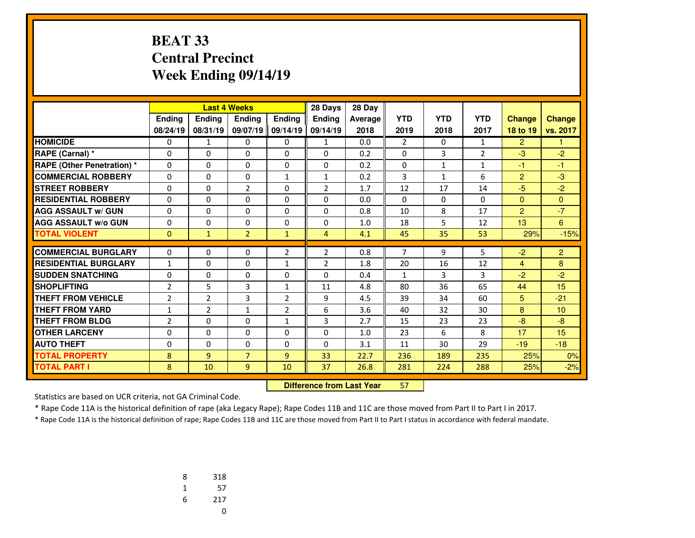#### **BEAT 33 Central PrecinctWeek Ending 09/14/19**

|                                   |                |                | <b>Last 4 Weeks</b> |                | 28 Days        | 28 Day  |                |              |                |                |                |
|-----------------------------------|----------------|----------------|---------------------|----------------|----------------|---------|----------------|--------------|----------------|----------------|----------------|
|                                   | Ending         | Ending         | <b>Endina</b>       | Ending         | <b>Endina</b>  | Average | <b>YTD</b>     | <b>YTD</b>   | <b>YTD</b>     | <b>Change</b>  | <b>Change</b>  |
|                                   | 08/24/19       | 08/31/19       | 09/07/19            | 09/14/19       | 09/14/19       | 2018    | 2019           | 2018         | 2017           | 18 to 19       | vs. 2017       |
| <b>HOMICIDE</b>                   | 0              | 1              | 0                   | 0              | $\mathbf{1}$   | 0.0     | $\overline{2}$ | 0            | 1              | $\overline{2}$ |                |
| RAPE (Carnal) *                   | 0              | 0              | 0                   | 0              | 0              | 0.2     | 0              | 3            | $\overline{2}$ | $-3$           | $-2$           |
| <b>RAPE (Other Penetration) *</b> | $\Omega$       | $\Omega$       | $\Omega$            | $\Omega$       | $\Omega$       | 0.2     | $\Omega$       | $\mathbf{1}$ | $\mathbf{1}$   | $-1$           | $-1$           |
| <b>COMMERCIAL ROBBERY</b>         | $\Omega$       | $\Omega$       | $\Omega$            | $\mathbf{1}$   | 1              | 0.2     | 3              | $\mathbf{1}$ | 6              | $\overline{2}$ | $-3$           |
| <b>STREET ROBBERY</b>             | $\Omega$       | $\Omega$       | 2                   | $\Omega$       | $\overline{2}$ | 1.7     | 12             | 17           | 14             | $-5$           | $-2$           |
| <b>RESIDENTIAL ROBBERY</b>        | 0              | 0              | 0                   | 0              | $\Omega$       | 0.0     | 0              | 0            | 0              | $\mathbf{0}$   | $\Omega$       |
| <b>AGG ASSAULT w/ GUN</b>         | $\Omega$       | $\Omega$       | 0                   | $\Omega$       | $\Omega$       | 0.8     | 10             | 8            | 17             | 2              | $-7$           |
| <b>AGG ASSAULT w/o GUN</b>        | 0              | 0              | 0                   | 0              | 0              | 1.0     | 18             | 5            | 12             | 13             | 6              |
| <b>TOTAL VIOLENT</b>              | $\mathbf{0}$   | $\mathbf{1}$   | $\overline{2}$      | $\mathbf{1}$   | $\overline{4}$ | 4.1     | 45             | 35           | 53             | 29%            | $-15%$         |
|                                   |                |                |                     |                |                |         |                |              |                |                |                |
| <b>COMMERCIAL BURGLARY</b>        | 0              | 0              | 0                   | $\overline{2}$ | $\overline{2}$ | 0.8     | 7              | 9            | 5              | $-2$           | $\overline{2}$ |
| <b>RESIDENTIAL BURGLARY</b>       | $\mathbf{1}$   | $\Omega$       | $\Omega$            | $\mathbf{1}$   | $\overline{2}$ | 1.8     | 20             | 16           | 12             | 4              | 8              |
| <b>SUDDEN SNATCHING</b>           | $\Omega$       | $\Omega$       | $\Omega$            | $\Omega$       | $\Omega$       | 0.4     | $\mathbf{1}$   | 3            | 3              | $-2$           | $-2$           |
| <b>SHOPLIFTING</b>                | $\overline{2}$ | 5              | 3                   | $\mathbf{1}$   | 11             | 4.8     | 80             | 36           | 65             | 44             | 15             |
| <b>THEFT FROM VEHICLE</b>         | $\overline{2}$ | $\overline{2}$ | 3                   | $\overline{2}$ | 9              | 4.5     | 39             | 34           | 60             | 5              | $-21$          |
| <b>THEFT FROM YARD</b>            | $\mathbf{1}$   | $\overline{2}$ | $\mathbf{1}$        | $\overline{2}$ | 6              | 3.6     | 40             | 32           | 30             | 8              | 10             |
| <b>THEFT FROM BLDG</b>            | $\overline{2}$ | 0              | 0                   | $\mathbf{1}$   | 3              | 2.7     | 15             | 23           | 23             | $-8$           | $-8$           |
| <b>OTHER LARCENY</b>              | $\Omega$       | $\Omega$       | 0                   | $\Omega$       | $\Omega$       | 1.0     | 23             | 6            | 8              | 17             | 15             |
| <b>AUTO THEFT</b>                 | 0              | 0              | 0                   | 0              | $\Omega$       | 3.1     | 11             | 30           | 29             | $-19$          | $-18$          |
| <b>TOTAL PROPERTY</b>             | 8              | 9              | $\overline{7}$      | $\overline{9}$ | 33             | 22.7    | 236            | 189          | 235            | 25%            | 0%             |
| <b>TOTAL PART I</b>               | 8              | 10             | 9                   | 10             | 37             | 26.8    | 281            | 224          | 288            | 25%            | $-2%$          |

 **Difference from Last Year**<sup>57</sup>

Statistics are based on UCR criteria, not GA Criminal Code.

\* Rape Code 11A is the historical definition of rape (aka Legacy Rape); Rape Codes 11B and 11C are those moved from Part II to Part I in 2017.

| 8 | 318 |
|---|-----|
| 1 | 57  |
| 6 | 217 |
|   | U   |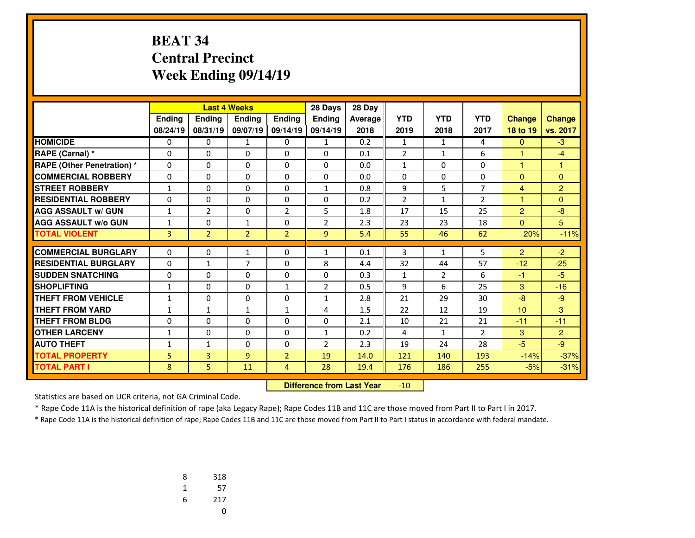## **BEAT 34 Central PrecinctWeek Ending 09/14/19**

|                                   |              |                | <b>Last 4 Weeks</b> |                | 28 Days        | 28 Day         |                |                |                |                |                |
|-----------------------------------|--------------|----------------|---------------------|----------------|----------------|----------------|----------------|----------------|----------------|----------------|----------------|
|                                   | Ending       | <b>Endina</b>  | <b>Endina</b>       | Ending         | <b>Endina</b>  | <b>Average</b> | <b>YTD</b>     | <b>YTD</b>     | <b>YTD</b>     | <b>Change</b>  | <b>Change</b>  |
|                                   | 08/24/19     | 08/31/19       | 09/07/19            | 09/14/19       | 09/14/19       | 2018           | 2019           | 2018           | 2017           | 18 to 19       | vs. 2017       |
| <b>HOMICIDE</b>                   | 0            | 0              | 1                   | 0              | 1              | 0.2            | $\mathbf{1}$   | $\mathbf{1}$   | 4              | $\overline{0}$ | $-3$           |
| RAPE (Carnal) *                   | $\Omega$     | 0              | $\Omega$            | $\Omega$       | $\Omega$       | 0.1            | $\overline{2}$ | $\mathbf{1}$   | 6              | 1              | $-4$           |
| <b>RAPE (Other Penetration) *</b> | $\Omega$     | 0              | $\Omega$            | $\Omega$       | $\Omega$       | 0.0            | $\mathbf{1}$   | $\Omega$       | $\Omega$       | 1              | 1              |
| <b>COMMERCIAL ROBBERY</b>         | 0            | 0              | $\Omega$            | 0              | 0              | 0.0            | 0              | $\Omega$       | 0              | $\Omega$       | $\Omega$       |
| <b>STREET ROBBERY</b>             | $\mathbf{1}$ | $\Omega$       | $\Omega$            | $\Omega$       | $\mathbf{1}$   | 0.8            | 9              | 5              | $\overline{7}$ | $\overline{4}$ | $\overline{2}$ |
| <b>RESIDENTIAL ROBBERY</b>        | 0            | 0              | $\Omega$            | $\Omega$       | 0              | 0.2            | $\overline{2}$ | $\mathbf{1}$   | $\overline{2}$ | $\mathbf{1}$   | $\Omega$       |
| <b>AGG ASSAULT w/ GUN</b>         | $\mathbf{1}$ | $\overline{2}$ | 0                   | $\overline{2}$ | 5              | 1.8            | 17             | 15             | 25             | $\overline{2}$ | $-8$           |
| <b>AGG ASSAULT w/o GUN</b>        | 1            | 0              | 1                   | 0              | $\overline{2}$ | 2.3            | 23             | 23             | 18             | $\mathbf{0}$   | 5              |
| <b>TOTAL VIOLENT</b>              | 3            | $\overline{2}$ | $\overline{2}$      | $\overline{2}$ | 9              | 5.4            | 55             | 46             | 62             | 20%            | $-11%$         |
|                                   |              |                |                     |                |                |                |                |                |                |                |                |
| <b>COMMERCIAL BURGLARY</b>        | 0            | 0              | $\mathbf{1}$        | 0              | $\mathbf{1}$   | 0.1            | 3              | $\mathbf{1}$   | 5              | $\overline{2}$ | $-2$           |
| <b>RESIDENTIAL BURGLARY</b>       | $\Omega$     | $\mathbf{1}$   | $\overline{7}$      | $\Omega$       | 8              | 4.4            | 32             | 44             | 57             | $-12$          | $-25$          |
| <b>SUDDEN SNATCHING</b>           | 0            | 0              | $\Omega$            | 0              | 0              | 0.3            | $\mathbf{1}$   | $\overline{2}$ | 6              | $-1$           | $-5$           |
| <b>SHOPLIFTING</b>                | $\mathbf{1}$ | $\Omega$       | $\Omega$            | $\mathbf{1}$   | $\overline{2}$ | 0.5            | 9              | 6              | 25             | 3              | $-16$          |
| <b>THEFT FROM VEHICLE</b>         | $\mathbf{1}$ | 0              | $\Omega$            | $\Omega$       | $\mathbf{1}$   | 2.8            | 21             | 29             | 30             | $-8$           | $-9$           |
| <b>THEFT FROM YARD</b>            | 1            | $\mathbf{1}$   | 1                   | $\mathbf{1}$   | 4              | 1.5            | 22             | 12             | 19             | 10             | 3              |
| <b>THEFT FROM BLDG</b>            | 0            | 0              | 0                   | $\Omega$       | $\Omega$       | 2.1            | 10             | 21             | 21             | $-11$          | $-11$          |
| <b>OTHER LARCENY</b>              | $\mathbf{1}$ | 0              | 0                   | $\Omega$       | $\mathbf{1}$   | 0.2            | 4              | $\mathbf{1}$   | $\overline{2}$ | 3              | 2              |
| <b>AUTO THEFT</b>                 | 1            | $\mathbf{1}$   | 0                   | 0              | $\overline{2}$ | 2.3            | 19             | 24             | 28             | $-5$           | $-9$           |
| <b>TOTAL PROPERTY</b>             | 5            | $\overline{3}$ | $\overline{9}$      | $\overline{2}$ | 19             | 14.0           | 121            | 140            | 193            | $-14%$         | $-37%$         |
| <b>TOTAL PART I</b>               | 8            | 5.             | 11                  | 4              | 28             | 19.4           | 176            | 186            | 255            | $-5%$          | $-31%$         |

 **Difference from Last Year**-10

Statistics are based on UCR criteria, not GA Criminal Code.

\* Rape Code 11A is the historical definition of rape (aka Legacy Rape); Rape Codes 11B and 11C are those moved from Part II to Part I in 2017.

| 8 | 318 |
|---|-----|
| 1 | 57  |
| 6 | 217 |
|   | U   |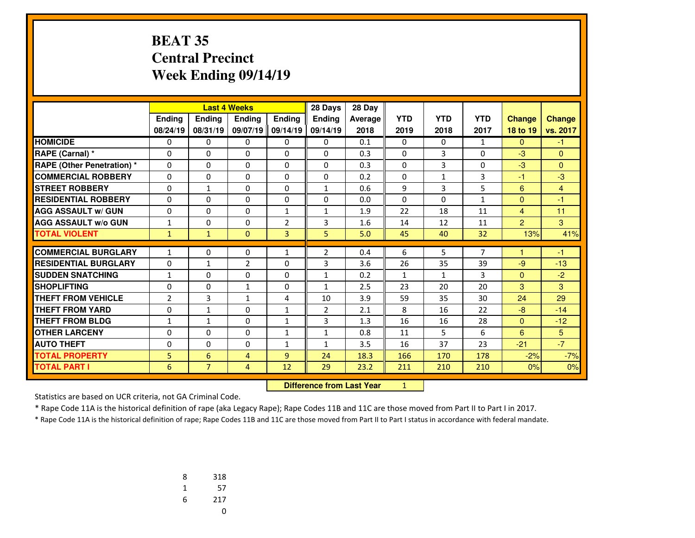#### **BEAT 35 Central PrecinctWeek Ending 09/14/19**

|                                   |                |                | <b>Last 4 Weeks</b> |                | 28 Days                          | 28 Day  |              |              |                |                |          |
|-----------------------------------|----------------|----------------|---------------------|----------------|----------------------------------|---------|--------------|--------------|----------------|----------------|----------|
|                                   | <b>Ending</b>  | Ending         | Ending              | <b>Endina</b>  | Ending                           | Average | <b>YTD</b>   | <b>YTD</b>   | <b>YTD</b>     | <b>Change</b>  | Change   |
|                                   | 08/24/19       | 08/31/19       | 09/07/19            | 09/14/19       | 09/14/19                         | 2018    | 2019         | 2018         | 2017           | 18 to 19       | vs. 2017 |
| <b>HOMICIDE</b>                   | 0              | 0              | 0                   | 0              | $\Omega$                         | 0.1     | 0            | $\mathbf{0}$ | $\mathbf{1}$   | $\mathbf{0}$   | $-1$     |
| RAPE (Carnal) *                   | 0              | $\Omega$       | $\Omega$            | $\Omega$       | $\Omega$                         | 0.3     | $\Omega$     | 3            | $\Omega$       | $-3$           | $\Omega$ |
| <b>RAPE (Other Penetration)</b> * | 0              | 0              | $\Omega$            | $\Omega$       | $\Omega$                         | 0.3     | $\Omega$     | 3            | $\Omega$       | $-3$           | $\Omega$ |
| <b>COMMERCIAL ROBBERY</b>         | 0              | 0              | 0                   | 0              | 0                                | 0.2     | 0            | 1            | 3              | -1             | $-3$     |
| <b>STREET ROBBERY</b>             | 0              | $\mathbf{1}$   | 0                   | 0              | $\mathbf{1}$                     | 0.6     | 9            | 3            | 5              | 6              | 4        |
| <b>RESIDENTIAL ROBBERY</b>        | $\Omega$       | 0              | 0                   | $\Omega$       | $\Omega$                         | 0.0     | $\Omega$     | $\Omega$     | $\mathbf{1}$   | $\mathbf{0}$   | $-1$     |
| <b>AGG ASSAULT w/ GUN</b>         | 0              | 0              | 0                   | $\mathbf{1}$   | 1                                | 1.9     | 22           | 18           | 11             | $\overline{4}$ | 11       |
| <b>AGG ASSAULT W/o GUN</b>        | $\mathbf{1}$   | 0              | 0                   | $\overline{2}$ | 3                                | 1.6     | 14           | 12           | 11             | $\overline{2}$ | 3        |
| <b>TOTAL VIOLENT</b>              | $\mathbf{1}$   | $\mathbf{1}$   | $\mathbf{0}$        | $\overline{3}$ | 5.                               | 5.0     | 45           | 40           | 32             | 13%            | 41%      |
| <b>COMMERCIAL BURGLARY</b>        | $\mathbf{1}$   | 0              | 0                   | $\mathbf{1}$   | $\overline{2}$                   | 0.4     | 6            | 5            | $\overline{7}$ | H              | $-1$     |
| <b>RESIDENTIAL BURGLARY</b>       | $\Omega$       | $\mathbf{1}$   | $\overline{2}$      | $\Omega$       | 3                                | 3.6     | 26           | 35           | 39             | $-9$           | $-13$    |
| <b>SUDDEN SNATCHING</b>           | $\mathbf{1}$   | $\Omega$       | $\Omega$            | $\Omega$       | $\mathbf{1}$                     | 0.2     | $\mathbf{1}$ | $\mathbf{1}$ | 3              | $\mathbf{0}$   | $-2$     |
| <b>SHOPLIFTING</b>                | 0              | $\Omega$       | $\mathbf{1}$        | $\Omega$       | $\mathbf{1}$                     | 2.5     | 23           | 20           | 20             | 3              | 3        |
| <b>THEFT FROM VEHICLE</b>         | $\overline{2}$ | 3              | $\mathbf{1}$        | 4              | 10                               | 3.9     | 59           | 35           | 30             | 24             | 29       |
| <b>THEFT FROM YARD</b>            | 0              | $\mathbf{1}$   | $\Omega$            | $\mathbf{1}$   | $\overline{2}$                   | 2.1     | 8            | 16           | 22             | $-8$           | $-14$    |
| <b>THEFT FROM BLDG</b>            | 1              | $\mathbf{1}$   | $\Omega$            | $\mathbf{1}$   | 3                                | 1.3     | 16           | 16           | 28             | $\mathbf{0}$   | $-12$    |
| <b>OTHER LARCENY</b>              | 0              | 0              | 0                   | $\mathbf{1}$   | $\mathbf{1}$                     | 0.8     | 11           | 5            | 6              | 6              | 5        |
| <b>AUTO THEFT</b>                 | 0              | 0              | $\Omega$            | $\mathbf{1}$   | $\mathbf{1}$                     | 3.5     | 16           | 37           | 23             | $-21$          | $-7$     |
| <b>TOTAL PROPERTY</b>             | 5              | 6              | $\overline{4}$      | 9              | 24                               | 18.3    | 166          | 170          | 178            | $-2%$          | $-7%$    |
| <b>TOTAL PART I</b>               | 6              | 7 <sup>1</sup> | $\overline{4}$      | 12             | 29                               | 23.2    | 211          | 210          | 210            | 0%             | 0%       |
|                                   |                |                |                     |                | <b>Difference from Last Year</b> |         | $\mathbf{1}$ |              |                |                |          |

 **Difference from Last Year**

Statistics are based on UCR criteria, not GA Criminal Code.

\* Rape Code 11A is the historical definition of rape (aka Legacy Rape); Rape Codes 11B and 11C are those moved from Part II to Part I in 2017.

| 8 | 318 |
|---|-----|
| 1 | 57  |
| 6 | 217 |
|   | U   |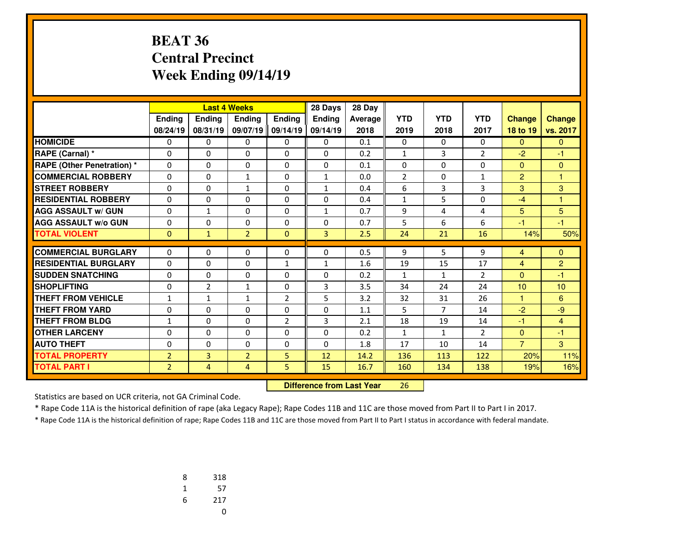### **BEAT 36 Central PrecinctWeek Ending 09/14/19**

|                                   |                |                | <b>Last 4 Weeks</b> |                | 28 Days       | 28 Day  |                |                |                |                |                |
|-----------------------------------|----------------|----------------|---------------------|----------------|---------------|---------|----------------|----------------|----------------|----------------|----------------|
|                                   | Ending         | Ending         | <b>Endina</b>       | <b>Ending</b>  | <b>Endina</b> | Average | <b>YTD</b>     | <b>YTD</b>     | <b>YTD</b>     | <b>Change</b>  | <b>Change</b>  |
|                                   | 08/24/19       | 08/31/19       | 09/07/19            | 09/14/19       | 09/14/19      | 2018    | 2019           | 2018           | 2017           | 18 to 19       | vs. 2017       |
| <b>HOMICIDE</b>                   | 0              | 0              | 0                   | 0              | 0             | 0.1     | 0              | $\Omega$       | 0              | $\mathbf{0}$   | $\mathbf{0}$   |
| RAPE (Carnal) *                   | 0              | $\Omega$       | $\Omega$            | 0              | $\Omega$      | 0.2     | $\mathbf{1}$   | 3              | $\overline{2}$ | $-2$           | $-1$           |
| <b>RAPE (Other Penetration)</b> * | 0              | $\Omega$       | 0                   | 0              | $\Omega$      | 0.1     | 0              | 0              | $\Omega$       | $\Omega$       | $\mathbf{0}$   |
| <b>COMMERCIAL ROBBERY</b>         | $\Omega$       | $\Omega$       | $\mathbf{1}$        | $\Omega$       | $\mathbf{1}$  | 0.0     | $\overline{2}$ | $\Omega$       | $\mathbf{1}$   | 2              | $\overline{1}$ |
| <b>STREET ROBBERY</b>             | $\Omega$       | $\Omega$       | $\mathbf{1}$        | 0              | $\mathbf{1}$  | 0.4     | 6              | 3              | 3              | 3              | 3              |
| <b>RESIDENTIAL ROBBERY</b>        | 0              | $\Omega$       | $\Omega$            | $\Omega$       | $\Omega$      | 0.4     | $\mathbf{1}$   | 5              | $\Omega$       | $-4$           | $\overline{1}$ |
| <b>AGG ASSAULT w/ GUN</b>         | 0              | $\mathbf{1}$   | 0                   | 0              | $\mathbf{1}$  | 0.7     | 9              | 4              | 4              | 5 <sup>5</sup> | 5              |
| <b>AGG ASSAULT w/o GUN</b>        | 0              | $\Omega$       | 0                   | $\Omega$       | $\Omega$      | 0.7     | 5              | 6              | 6              | $-1$           | $-1$           |
| <b>TOTAL VIOLENT</b>              | $\mathbf{0}$   | $\mathbf{1}$   | $\overline{2}$      | $\Omega$       | 3             | 2.5     | 24             | 21             | 16             | 14%            | 50%            |
| <b>COMMERCIAL BURGLARY</b>        |                | 0              |                     |                |               |         |                | 5              |                |                |                |
| <b>RESIDENTIAL BURGLARY</b>       | 0              |                | 0                   | 0              | $\mathbf{0}$  | 0.5     | 9              |                | 9              | $\overline{4}$ | $\mathbf{0}$   |
|                                   | 0              | $\Omega$       | 0                   | $\mathbf{1}$   | $\mathbf{1}$  | 1.6     | 19             | 15             | 17             | 4              | $\overline{2}$ |
| <b>SUDDEN SNATCHING</b>           | 0              | $\Omega$       | 0                   | 0              | $\Omega$      | 0.2     | $\mathbf{1}$   | $\mathbf{1}$   | $\overline{2}$ | $\Omega$       | $-1$           |
| <b>SHOPLIFTING</b>                | $\Omega$       | $\overline{2}$ | $\mathbf{1}$        | $\Omega$       | 3             | 3.5     | 34             | 24             | 24             | 10             | 10             |
| <b>THEFT FROM VEHICLE</b>         | 1              | $\mathbf{1}$   | $\mathbf{1}$        | $\overline{2}$ | 5             | 3.2     | 32             | 31             | 26             | $\blacksquare$ | 6              |
| <b>THEFT FROM YARD</b>            | $\Omega$       | $\Omega$       | $\Omega$            | $\Omega$       | $\Omega$      | 1.1     | 5              | $\overline{7}$ | 14             | $-2$           | $-9$           |
| <b>THEFT FROM BLDG</b>            | 1              | $\Omega$       | $\Omega$            | $\overline{2}$ | 3             | 2.1     | 18             | 19             | 14             | $-1$           | $\overline{4}$ |
| <b>OTHER LARCENY</b>              | $\Omega$       | $\Omega$       | $\Omega$            | $\Omega$       | $\Omega$      | 0.2     | $\mathbf{1}$   | $\mathbf{1}$   | $\overline{2}$ | $\mathbf{0}$   | $-1$           |
| <b>AUTO THEFT</b>                 | 0              | 0              | 0                   | 0              | $\Omega$      | 1.8     | 17             | 10             | 14             | $\overline{7}$ | 3              |
| <b>TOTAL PROPERTY</b>             | $\overline{2}$ | 3              | $\overline{2}$      | 5              | 12            | 14.2    | 136            | 113            | 122            | 20%            | 11%            |
| <b>TOTAL PART I</b>               | $\overline{2}$ | $\overline{4}$ | $\overline{4}$      | 5              | 15            | 16.7    | 160            | 134            | 138            | 19%            | 16%            |

 **Difference from Last Year**<sup>26</sup>

Statistics are based on UCR criteria, not GA Criminal Code.

\* Rape Code 11A is the historical definition of rape (aka Legacy Rape); Rape Codes 11B and 11C are those moved from Part II to Part I in 2017.

| 8 | 318 |
|---|-----|
| 1 | 57  |
| 6 | 217 |
|   | U   |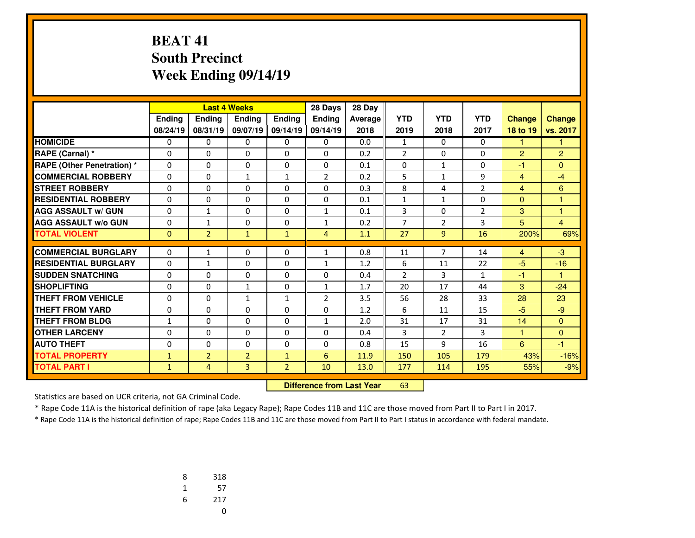#### **BEAT 41 South PrecinctWeek Ending 09/14/19**

|                                   |              |                | <b>Last 4 Weeks</b> |                | 28 Days        | 28 Day  |                |                |                |                |                         |
|-----------------------------------|--------------|----------------|---------------------|----------------|----------------|---------|----------------|----------------|----------------|----------------|-------------------------|
|                                   | Ending       | <b>Endina</b>  | <b>Endina</b>       | Ending         | <b>Endina</b>  | Average | <b>YTD</b>     | <b>YTD</b>     | <b>YTD</b>     | <b>Change</b>  | Change                  |
|                                   | 08/24/19     | 08/31/19       | 09/07/19 09/14/19   |                | 09/14/19       | 2018    | 2019           | 2018           | 2017           | 18 to 19       | vs. 2017                |
| <b>HOMICIDE</b>                   | 0            | 0              | 0                   | 0              | $\Omega$       | 0.0     | $\mathbf{1}$   | $\Omega$       | 0              | 1              | 1.                      |
| RAPE (Carnal) *                   | 0            | $\Omega$       | 0                   | $\Omega$       | $\Omega$       | 0.2     | $\overline{2}$ | 0              | $\Omega$       | 2              | $\overline{2}$          |
| <b>RAPE (Other Penetration) *</b> | $\Omega$     | $\Omega$       | $\Omega$            | $\Omega$       | $\Omega$       | 0.1     | $\Omega$       | $\mathbf{1}$   | $\Omega$       | $-1$           | $\Omega$                |
| <b>COMMERCIAL ROBBERY</b>         | 0            | 0              | $\mathbf{1}$        | $\mathbf{1}$   | 2              | 0.2     | 5              | $\mathbf{1}$   | 9              | $\overline{4}$ | $-4$                    |
| <b>STREET ROBBERY</b>             | $\Omega$     | $\Omega$       | $\Omega$            | $\Omega$       | $\Omega$       | 0.3     | 8              | 4              | $\overline{2}$ | $\overline{4}$ | 6                       |
| <b>RESIDENTIAL ROBBERY</b>        | 0            | 0              | 0                   | 0              | $\Omega$       | 0.1     | 1              | $\mathbf{1}$   | 0              | $\Omega$       | 1                       |
| <b>AGG ASSAULT w/ GUN</b>         | $\Omega$     | $\mathbf{1}$   | $\Omega$            | $\Omega$       | $\mathbf{1}$   | 0.1     | 3              | 0              | $\overline{2}$ | 3              | $\overline{\mathbf{1}}$ |
| <b>AGG ASSAULT w/o GUN</b>        | 0            | $\mathbf{1}$   | 0                   | 0              | 1              | 0.2     | 7              | $\overline{2}$ | 3              | 5              | 4                       |
| <b>TOTAL VIOLENT</b>              | $\mathbf{0}$ | $\overline{2}$ | $\mathbf{1}$        | $\mathbf{1}$   | $\overline{4}$ | 1.1     | 27             | 9              | 16             | 200%           | 69%                     |
|                                   |              |                |                     |                |                |         |                |                |                |                |                         |
| <b>COMMERCIAL BURGLARY</b>        | $\Omega$     | 1              | $\Omega$            | $\Omega$       | 1              | 0.8     | 11             | $\overline{7}$ | 14             | $\overline{4}$ | $-3$                    |
| <b>RESIDENTIAL BURGLARY</b>       | 0            | 1              | $\Omega$            | 0              | $\mathbf{1}$   | 1.2     | 6              | 11             | 22             | $-5$           | $-16$                   |
| <b>SUDDEN SNATCHING</b>           | 0            | 0              | 0                   | 0              | 0              | 0.4     | $\overline{2}$ | 3              | $\mathbf{1}$   | -1             | 1                       |
| <b>SHOPLIFTING</b>                | $\Omega$     | $\Omega$       | $\mathbf{1}$        | 0              | $\mathbf{1}$   | 1.7     | 20             | 17             | 44             | 3              | $-24$                   |
| <b>THEFT FROM VEHICLE</b>         | 0            | 0              | $\mathbf{1}$        | $\mathbf{1}$   | $\overline{2}$ | 3.5     | 56             | 28             | 33             | 28             | 23                      |
| <b>THEFT FROM YARD</b>            | $\Omega$     | $\Omega$       | $\Omega$            | $\Omega$       | $\Omega$       | 1.2     | 6              | 11             | 15             | $-5$           | $-9$                    |
| <b>THEFT FROM BLDG</b>            | $\mathbf{1}$ | 0              | 0                   | 0              | $\mathbf{1}$   | 2.0     | 31             | 17             | 31             | 14             | $\mathbf{0}$            |
| <b>OTHER LARCENY</b>              | 0            | $\Omega$       | 0                   | $\Omega$       | $\Omega$       | 0.4     | 3              | $\overline{2}$ | 3              | 1              | $\Omega$                |
| <b>AUTO THEFT</b>                 | 0            | 0              | 0                   | 0              | 0              | 0.8     | 15             | 9              | 16             | 6              | -1                      |
| <b>TOTAL PROPERTY</b>             | $\mathbf{1}$ | $\overline{2}$ | $\overline{2}$      | $\mathbf{1}$   | 6              | 11.9    | 150            | 105            | 179            | 43%            | $-16%$                  |
| <b>TOTAL PART I</b>               | $\mathbf{1}$ | $\overline{4}$ | 3                   | $\overline{2}$ | 10             | 13.0    | 177            | 114            | 195            | 55%            | $-9%$                   |

 **Difference from Last Year**<sup>63</sup>

Statistics are based on UCR criteria, not GA Criminal Code.

\* Rape Code 11A is the historical definition of rape (aka Legacy Rape); Rape Codes 11B and 11C are those moved from Part II to Part I in 2017.

| 8 | 318 |
|---|-----|
| 1 | 57  |
| 6 | 217 |
|   | U   |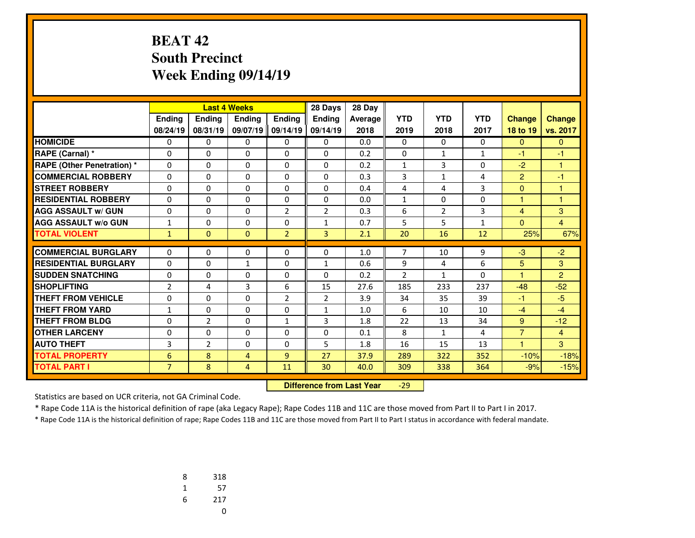#### **BEAT 42 South PrecinctWeek Ending 09/14/19**

|                                   |                |                |                   | <b>Last 4 Weeks</b><br>28 Days |                |         |                |                |              |                |                |
|-----------------------------------|----------------|----------------|-------------------|--------------------------------|----------------|---------|----------------|----------------|--------------|----------------|----------------|
|                                   | Ending         | Ending         | <b>Endina</b>     | Ending                         | <b>Endina</b>  | Average | <b>YTD</b>     | <b>YTD</b>     | <b>YTD</b>   | <b>Change</b>  | Change         |
|                                   | 08/24/19       | 08/31/19       | 09/07/19 09/14/19 |                                | 09/14/19       | 2018    | 2019           | 2018           | 2017         | 18 to 19       | vs. 2017       |
| <b>HOMICIDE</b>                   | 0              | 0              | 0                 | 0                              | $\Omega$       | 0.0     | 0              | $\Omega$       | 0            | $\mathbf{0}$   | $\mathbf{0}$   |
| RAPE (Carnal) *                   | 0              | 0              | 0                 | 0                              | $\mathbf{0}$   | 0.2     | 0              | $\mathbf{1}$   | 1            | $-1$           | -1             |
| <b>RAPE (Other Penetration) *</b> | 0              | $\Omega$       | $\Omega$          | 0                              | $\Omega$       | 0.2     | $\mathbf{1}$   | 3              | $\Omega$     | $-2$           | 1              |
| <b>COMMERCIAL ROBBERY</b>         | 0              | $\Omega$       | $\Omega$          | 0                              | $\Omega$       | 0.3     | 3              | $\mathbf{1}$   | 4            | 2              | $-1$           |
| <b>STREET ROBBERY</b>             | 0              | 0              | 0                 | 0                              | $\Omega$       | 0.4     | 4              | 4              | 3            | $\mathbf{0}$   | 1              |
| <b>RESIDENTIAL ROBBERY</b>        | 0              | $\Omega$       | 0                 | $\Omega$                       | $\Omega$       | 0.0     | $\mathbf{1}$   | 0              | $\Omega$     | 1              | $\overline{1}$ |
| <b>AGG ASSAULT w/ GUN</b>         | 0              | 0              | 0                 | $\overline{2}$                 | $\overline{2}$ | 0.3     | 6              | $\overline{2}$ | 3            | 4              | 3              |
| <b>AGG ASSAULT w/o GUN</b>        | $\mathbf{1}$   | $\Omega$       | $\Omega$          | $\Omega$                       | $\mathbf{1}$   | 0.7     | 5              | 5              | $\mathbf{1}$ | $\mathbf{0}$   | $\overline{4}$ |
| <b>TOTAL VIOLENT</b>              | $\mathbf{1}$   | $\Omega$       | $\Omega$          | $\overline{2}$                 | $\overline{3}$ | 2.1     | 20             | 16             | 12           | 25%            | 67%            |
|                                   |                |                |                   |                                |                |         |                |                |              |                |                |
| <b>COMMERCIAL BURGLARY</b>        | 0              | 0              | 0                 | 0                              | $\mathbf{0}$   | 1.0     | 7              | 10             | 9            | $-3$           | $-2$           |
| <b>RESIDENTIAL BURGLARY</b>       | 0              | 0              | $\mathbf{1}$      | 0                              | $\mathbf{1}$   | 0.6     | 9              | 4              | 6            | 5              | 3              |
| <b>SUDDEN SNATCHING</b>           | $\Omega$       | 0              | 0                 | 0                              | $\Omega$       | 0.2     | $\overline{2}$ | 1              | 0            | H              | $\overline{2}$ |
| <b>SHOPLIFTING</b>                | 2              | 4              | 3                 | 6                              | 15             | 27.6    | 185            | 233            | 237          | $-48$          | $-52$          |
| <b>THEFT FROM VEHICLE</b>         | 0              | 0              | 0                 | $\overline{2}$                 | $\overline{2}$ | 3.9     | 34             | 35             | 39           | $-1$           | $-5$           |
| <b>THEFT FROM YARD</b>            | $\mathbf{1}$   | 0              | 0                 | 0                              | $\mathbf{1}$   | 1.0     | 6              | 10             | 10           | $-4$           | $-4$           |
| <b>THEFT FROM BLDG</b>            | 0              | $\overline{2}$ | $\Omega$          | $\mathbf{1}$                   | 3              | 1.8     | 22             | 13             | 34           | 9              | $-12$          |
| <b>OTHER LARCENY</b>              | 0              | 0              | 0                 | 0                              | $\Omega$       | 0.1     | 8              | 1              | 4            | $\overline{7}$ | $\overline{4}$ |
| <b>AUTO THEFT</b>                 | 3              | $\overline{2}$ | $\Omega$          | $\Omega$                       | 5              | 1.8     | 16             | 15             | 13           | $\overline{1}$ | 3              |
| <b>TOTAL PROPERTY</b>             | 6              | 8              | 4                 | 9                              | 27             | 37.9    | 289            | 322            | 352          | $-10%$         | $-18%$         |
| <b>TOTAL PART I</b>               | $\overline{7}$ | 8              | $\overline{4}$    | 11                             | 30             | 40.0    | 309            | 338            | 364          | $-9%$          | $-15%$         |

 **Difference from Last Year**-29

Statistics are based on UCR criteria, not GA Criminal Code.

\* Rape Code 11A is the historical definition of rape (aka Legacy Rape); Rape Codes 11B and 11C are those moved from Part II to Part I in 2017.

| 8 | 318 |
|---|-----|
| 1 | 57  |
| 6 | 217 |
|   | U   |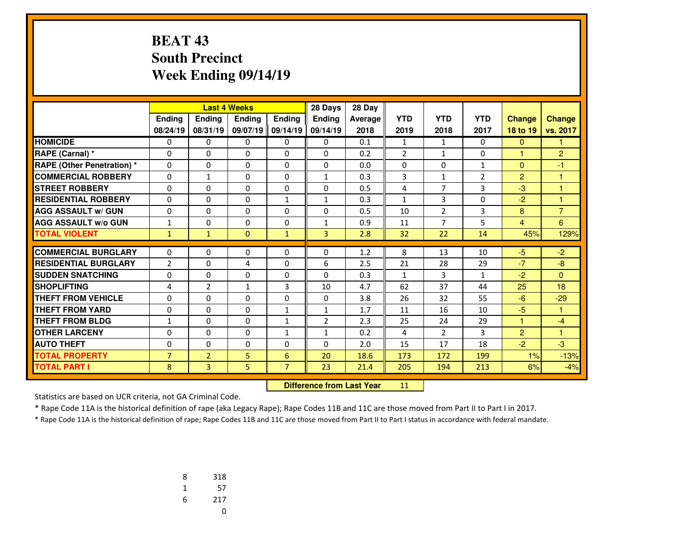### **BEAT 43 South PrecinctWeek Ending 09/14/19**

|                                   |                |                |                   | <b>Last 4 Weeks</b><br>28 Days |                |         |                |                |                |                |                |
|-----------------------------------|----------------|----------------|-------------------|--------------------------------|----------------|---------|----------------|----------------|----------------|----------------|----------------|
|                                   | Ending         | Ending         | <b>Endina</b>     | Ending                         | <b>Endina</b>  | Average | <b>YTD</b>     | <b>YTD</b>     | <b>YTD</b>     | <b>Change</b>  | <b>Change</b>  |
|                                   | 08/24/19       | 08/31/19       | 09/07/19 09/14/19 |                                | 09/14/19       | 2018    | 2019           | 2018           | 2017           | 18 to 19       | vs. 2017       |
| <b>HOMICIDE</b>                   | 0              | 0              | 0                 | 0                              | $\mathbf{0}$   | 0.1     | $\mathbf{1}$   | $\mathbf{1}$   | 0              | $\mathbf{0}$   | 1              |
| <b>RAPE (Carnal) *</b>            | 0              | 0              | 0                 | 0                              | $\Omega$       | 0.2     | $\overline{2}$ | $\mathbf{1}$   | 0              | 1              | $\overline{2}$ |
| <b>RAPE (Other Penetration) *</b> | 0              | $\Omega$       | $\Omega$          | 0                              | $\Omega$       | 0.0     | 0              | 0              | 1              | $\mathbf{0}$   | $-1$           |
| <b>COMMERCIAL ROBBERY</b>         | $\Omega$       | $\mathbf{1}$   | $\Omega$          | $\Omega$                       | $\mathbf{1}$   | 0.3     | 3              | $\mathbf{1}$   | $\overline{2}$ | 2              | $\overline{1}$ |
| <b>STREET ROBBERY</b>             | 0              | $\Omega$       | 0                 | 0                              | $\Omega$       | 0.5     | 4              | $\overline{7}$ | 3              | $-3$           | 1              |
| <b>RESIDENTIAL ROBBERY</b>        | $\Omega$       | $\Omega$       | 0                 | $\mathbf{1}$                   | $\mathbf{1}$   | 0.3     | $\mathbf{1}$   | 3              | $\Omega$       | $-2$           | 1              |
| <b>AGG ASSAULT w/ GUN</b>         | $\Omega$       | 0              | 0                 | 0                              | $\Omega$       | 0.5     | 10             | $\overline{2}$ | 3              | 8              | $\overline{7}$ |
| <b>AGG ASSAULT w/o GUN</b>        | 1              | $\Omega$       | $\Omega$          | 0                              | 1              | 0.9     | 11             | $\overline{7}$ | 5              | $\overline{4}$ | 6              |
| <b>TOTAL VIOLENT</b>              | $\mathbf{1}$   | $\mathbf{1}$   | $\Omega$          | $\mathbf{1}$                   | $\overline{3}$ | 2.8     | 32             | 22             | 14             | 45%            | 129%           |
|                                   |                |                |                   |                                |                |         |                |                |                |                |                |
| <b>COMMERCIAL BURGLARY</b>        | 0              | 0              | 0                 | 0                              | $\mathbf{0}$   | 1.2     | 8              | 13             | 10             | $-5$           | $-2$           |
| <b>RESIDENTIAL BURGLARY</b>       | $\overline{2}$ | $\Omega$       | 4                 | 0                              | 6              | 2.5     | 21             | 28             | 29             | $-7$           | $-8$           |
| <b>SUDDEN SNATCHING</b>           | $\Omega$       | $\Omega$       | $\Omega$          | $\Omega$                       | $\Omega$       | 0.3     | $\mathbf{1}$   | 3              | $\mathbf{1}$   | $-2$           | $\Omega$       |
| <b>SHOPLIFTING</b>                | 4              | $\overline{2}$ | $\mathbf{1}$      | 3                              | 10             | 4.7     | 62             | 37             | 44             | 25             | 18             |
| <b>THEFT FROM VEHICLE</b>         | 0              | $\Omega$       | 0                 | 0                              | $\Omega$       | 3.8     | 26             | 32             | 55             | $-6$           | $-29$          |
| <b>THEFT FROM YARD</b>            | 0              | $\Omega$       | $\Omega$          | $\mathbf{1}$                   | $\mathbf{1}$   | 1.7     | 11             | 16             | 10             | $-5$           | 1              |
| <b>THEFT FROM BLDG</b>            | 1              | 0              | $\Omega$          | $\mathbf{1}$                   | $\overline{2}$ | 2.3     | 25             | 24             | 29             | 1              | $-4$           |
| <b>OTHER LARCENY</b>              | $\Omega$       | $\Omega$       | $\Omega$          | $\mathbf{1}$                   | $\mathbf{1}$   | 0.2     | 4              | $\overline{2}$ | 3              | $\overline{2}$ | 1              |
| <b>AUTO THEFT</b>                 | 0              | 0              | 0                 | 0                              | $\Omega$       | 2.0     | 15             | 17             | 18             | $-2$           | $-3$           |
| <b>TOTAL PROPERTY</b>             | $\overline{7}$ | $\overline{2}$ | 5                 | 6                              | 20             | 18.6    | 173            | 172            | 199            | 1%             | $-13%$         |
| <b>TOTAL PART I</b>               | 8              | 3              | 5                 | $\overline{7}$                 | 23             | 21.4    | 205            | 194            | 213            | 6%             | $-4%$          |

 **Difference from Last Year**<sup>11</sup>

Statistics are based on UCR criteria, not GA Criminal Code.

\* Rape Code 11A is the historical definition of rape (aka Legacy Rape); Rape Codes 11B and 11C are those moved from Part II to Part I in 2017.

| 8 | 318 |
|---|-----|
| 1 | 57  |
| 6 | 217 |
|   | U   |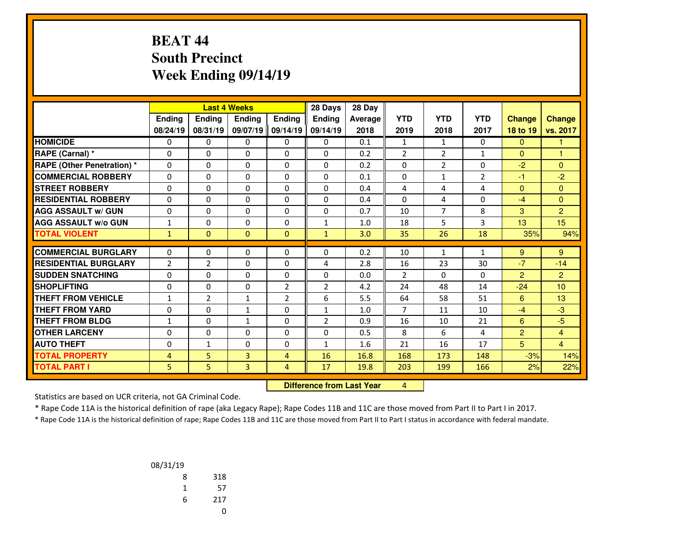### **BEAT 44 South PrecinctWeek Ending 09/14/19**

|                                   | <b>Last 4 Weeks</b> |                |               | 28 Days        | 28 Day                           |         |                |                |                |                |                  |
|-----------------------------------|---------------------|----------------|---------------|----------------|----------------------------------|---------|----------------|----------------|----------------|----------------|------------------|
|                                   | <b>Endina</b>       | <b>Endina</b>  | <b>Endina</b> | <b>Ending</b>  | <b>Ending</b>                    | Average | <b>YTD</b>     | <b>YTD</b>     | <b>YTD</b>     | <b>Change</b>  | <b>Change</b>    |
|                                   | 08/24/19            | 08/31/19       | 09/07/19      | 09/14/19       | 09/14/19                         | 2018    | 2019           | 2018           | 2017           | 18 to 19       | vs. 2017         |
| <b>HOMICIDE</b>                   | 0                   | 0              | 0             | 0              | $\Omega$                         | 0.1     | $\mathbf{1}$   | $\mathbf{1}$   | 0              | $\mathbf{0}$   | 1                |
| RAPE (Carnal) *                   | 0                   | $\Omega$       | $\Omega$      | 0              | $\Omega$                         | 0.2     | $\overline{2}$ | $\overline{2}$ | 1              | $\mathbf{0}$   | 1                |
| <b>RAPE (Other Penetration) *</b> | $\Omega$            | 0              | 0             | $\Omega$       | $\Omega$                         | 0.2     | 0              | $\overline{2}$ | $\Omega$       | $-2$           | $\mathbf{0}$     |
| <b>COMMERCIAL ROBBERY</b>         | 0                   | $\Omega$       | 0             | 0              | $\Omega$                         | 0.1     | 0              | 1              | $\overline{2}$ | $-1$           | $-2$             |
| <b>STREET ROBBERY</b>             | 0                   | 0              | 0             | 0              | $\Omega$                         | 0.4     | 4              | 4              | 4              | $\mathbf{0}$   | $\Omega$         |
| <b>RESIDENTIAL ROBBERY</b>        | $\Omega$            | $\Omega$       | 0             | $\Omega$       | $\Omega$                         | 0.4     | 0              | 4              | 0              | $-4$           | $\mathbf{0}$     |
| <b>AGG ASSAULT w/ GUN</b>         | 0                   | $\Omega$       | $\Omega$      | $\Omega$       | $\Omega$                         | 0.7     | 10             | $\overline{7}$ | 8              | 3              | $\overline{2}$   |
| <b>AGG ASSAULT W/o GUN</b>        | 1                   | $\Omega$       | 0             | 0              | $\mathbf{1}$                     | 1.0     | 18             | 5              | 3              | 13             | 15 <sub>15</sub> |
| <b>TOTAL VIOLENT</b>              | $\mathbf{1}$        | $\overline{0}$ | 0             | $\mathbf{0}$   | $\mathbf{1}$                     | 3.0     | 35             | 26             | 18             | 35%            | 94%              |
| <b>COMMERCIAL BURGLARY</b>        | $\Omega$            | $\Omega$       | 0             | 0              | $\Omega$                         | 0.2     | 10             | $\mathbf{1}$   | 1              | 9              | 9                |
| <b>RESIDENTIAL BURGLARY</b>       | $\overline{2}$      | $\overline{2}$ | 0             | $\Omega$       | 4                                | 2.8     | 16             | 23             | 30             | $-7$           | $-14$            |
| <b>SUDDEN SNATCHING</b>           | 0                   | $\Omega$       | $\Omega$      | $\Omega$       | $\Omega$                         | 0.0     | $\overline{2}$ | $\Omega$       | $\Omega$       | $\overline{2}$ | $\overline{2}$   |
| <b>SHOPLIFTING</b>                | 0                   | $\Omega$       | $\Omega$      | 2              | $\overline{2}$                   | 4.2     | 24             | 48             | 14             | $-24$          | 10 <sup>10</sup> |
| <b>THEFT FROM VEHICLE</b>         | 1                   | $\overline{2}$ | $\mathbf{1}$  | 2              | 6                                | 5.5     | 64             | 58             | 51             | 6              | 13               |
| <b>THEFT FROM YARD</b>            | 0                   | 0              | $\mathbf{1}$  | 0              | $\mathbf{1}$                     | 1.0     | $\overline{7}$ | 11             | 10             | $-4$           | $-3$             |
| <b>THEFT FROM BLDG</b>            | 1                   | $\Omega$       | $\mathbf{1}$  | $\Omega$       | $\overline{2}$                   | 0.9     | 16             | 10             | 21             | 6              | $-5$             |
| <b>OTHER LARCENY</b>              | 0                   | $\Omega$       | $\Omega$      | 0              | $\Omega$                         | 0.5     | 8              | 6              | 4              | $\overline{2}$ | $\overline{4}$   |
| <b>AUTO THEFT</b>                 | 0                   | $\mathbf{1}$   | 0             | 0              | $\mathbf{1}$                     | 1.6     | 21             | 16             | 17             | 5              | $\overline{4}$   |
| <b>TOTAL PROPERTY</b>             | 4                   | 5              | 3             | $\overline{4}$ | 16                               | 16.8    | 168            | 173            | 148            | $-3%$          | 14%              |
| <b>TOTAL PART I</b>               | 5.                  | 5.             | 3             | $\overline{4}$ | 17                               | 19.8    | 203            | 199            | 166            | 2%             | 22%              |
|                                   |                     |                |               |                | <b>Difference from Last Year</b> |         | $\overline{4}$ |                |                |                |                  |

 **Difference from Last Year**

Statistics are based on UCR criteria, not GA Criminal Code.

\* Rape Code 11A is the historical definition of rape (aka Legacy Rape); Rape Codes 11B and 11C are those moved from Part II to Part I in 2017.

| 08/31/19 |     |
|----------|-----|
| 8        | 318 |
| 1        | 57  |
| 6        | 217 |
|          |     |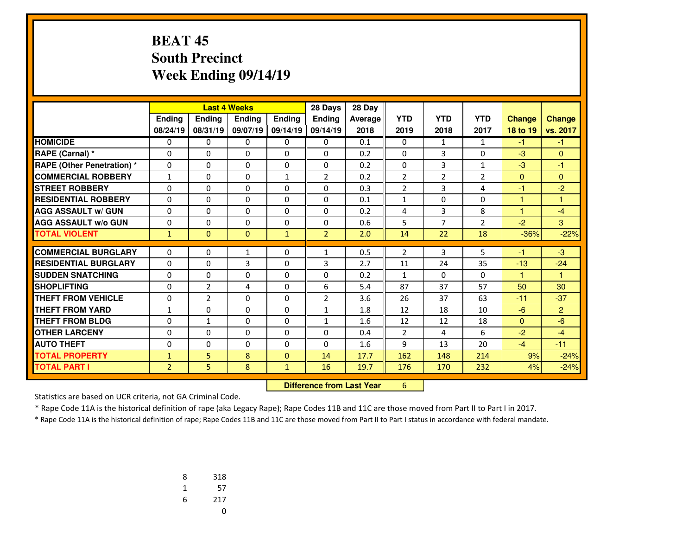#### **BEAT 45 South PrecinctWeek Ending 09/14/19**

|                                   |                |                                  | <b>Last 4 Weeks</b> |               | 28 Days        | 28 Day  |                |                |                |               |                |
|-----------------------------------|----------------|----------------------------------|---------------------|---------------|----------------|---------|----------------|----------------|----------------|---------------|----------------|
|                                   | <b>Ending</b>  | <b>Ending</b>                    | <b>Endina</b>       | <b>Endina</b> | Ending         | Average | <b>YTD</b>     | <b>YTD</b>     | <b>YTD</b>     | <b>Change</b> | <b>Change</b>  |
|                                   | 08/24/19       | 08/31/19                         | 09/07/19            | 09/14/19      | 09/14/19       | 2018    | 2019           | 2018           | 2017           | 18 to 19      | vs. 2017       |
| <b>HOMICIDE</b>                   | 0              | 0                                | 0                   | 0             | $\Omega$       | 0.1     | 0              | $\mathbf{1}$   | $\mathbf{1}$   | $-1$          | $-1$           |
| RAPE (Carnal) *                   | 0              | 0                                | 0                   | 0             | 0              | 0.2     | 0              | 3              | 0              | $-3$          | $\mathbf{0}$   |
| <b>RAPE (Other Penetration) *</b> | 0              | 0                                | 0                   | 0             | $\Omega$       | 0.2     | 0              | 3              | $\mathbf{1}$   | $-3$          | -1             |
| <b>COMMERCIAL ROBBERY</b>         | $\mathbf{1}$   | $\Omega$                         | 0                   | $\mathbf{1}$  | $\overline{2}$ | 0.2     | 2              | $\overline{2}$ | $\overline{2}$ | $\mathbf{0}$  | $\mathbf{0}$   |
| <b>STREET ROBBERY</b>             | 0              | 0                                | 0                   | $\Omega$      | $\Omega$       | 0.3     | $\overline{2}$ | 3              | 4              | $-1$          | $-2$           |
| <b>RESIDENTIAL ROBBERY</b>        | 0              | $\Omega$                         | 0                   | $\Omega$      | $\Omega$       | 0.1     | 1              | 0              | $\Omega$       | 1             | 1              |
| <b>AGG ASSAULT w/ GUN</b>         | 0              | 0                                | 0                   | 0             | $\Omega$       | 0.2     | 4              | 3              | 8              | 1             | $-4$           |
| <b>AGG ASSAULT W/o GUN</b>        | 0              | $\Omega$                         | 0                   | 0             | $\Omega$       | 0.6     | 5              | $\overline{7}$ | $\overline{2}$ | $-2$          | 3              |
| <b>TOTAL VIOLENT</b>              | $\mathbf{1}$   | $\Omega$                         | $\mathbf{0}$        | $\mathbf{1}$  | $\overline{2}$ | 2.0     | 14             | 22             | 18             | $-36%$        | $-22%$         |
| <b>COMMERCIAL BURGLARY</b>        | $\Omega$       | $\Omega$                         | $\mathbf{1}$        | 0             | $\mathbf{1}$   | 0.5     | $\overline{2}$ | 3              | 5              | $-1$          | $-3$           |
| <b>RESIDENTIAL BURGLARY</b>       | 0              | $\Omega$                         | 3                   | 0             | 3              | 2.7     | 11             | 24             | 35             | $-13$         | $-24$          |
| <b>SUDDEN SNATCHING</b>           | $\Omega$       | $\Omega$                         | $\Omega$            | $\Omega$      | $\Omega$       | 0.2     | $\mathbf{1}$   | $\Omega$       | $\Omega$       | 1             | 1              |
| <b>SHOPLIFTING</b>                | 0              | $\overline{2}$                   | 4                   | 0             | 6              | 5.4     | 87             | 37             | 57             | 50            | 30             |
| <b>THEFT FROM VEHICLE</b>         | 0              | $\overline{2}$                   | 0                   | 0             | $\overline{2}$ | 3.6     | 26             | 37             | 63             | $-11$         | $-37$          |
| <b>THEFT FROM YARD</b>            | $\mathbf{1}$   | $\Omega$                         | $\Omega$            | 0             | $\mathbf{1}$   | 1.8     | 12             | 18             | 10             | $-6$          | $\overline{2}$ |
| <b>THEFT FROM BLDG</b>            | 0              | $\mathbf{1}$                     | 0                   | 0             | $\mathbf{1}$   | 1.6     | 12             | 12             | 18             | $\mathbf{0}$  | $-6$           |
| <b>OTHER LARCENY</b>              | 0              | $\Omega$                         | 0                   | 0             | $\Omega$       | 0.4     | 2              | 4              | 6              | $-2$          | $-4$           |
| <b>AUTO THEFT</b>                 | 0              | 0                                | 0                   | 0             | 0              | 1.6     | 9              | 13             | 20             | $-4$          | $-11$          |
| <b>TOTAL PROPERTY</b>             | $\mathbf{1}$   | 5.                               | 8                   | $\Omega$      | 14             | 17.7    | 162            | 148            | 214            | 9%            | $-24%$         |
| <b>TOTAL PART I</b>               | $\overline{2}$ | 5.                               | 8                   | $\mathbf{1}$  | 16             | 19.7    | 176            | 170            | 232            | 4%            | $-24%$         |
|                                   |                | <b>Difference from Last Year</b> |                     | 6             |                |         |                |                |                |               |                |

Statistics are based on UCR criteria, not GA Criminal Code.

\* Rape Code 11A is the historical definition of rape (aka Legacy Rape); Rape Codes 11B and 11C are those moved from Part II to Part I in 2017.

| 8 | 318 |
|---|-----|
| 1 | 57  |
| 6 | 217 |
|   | U   |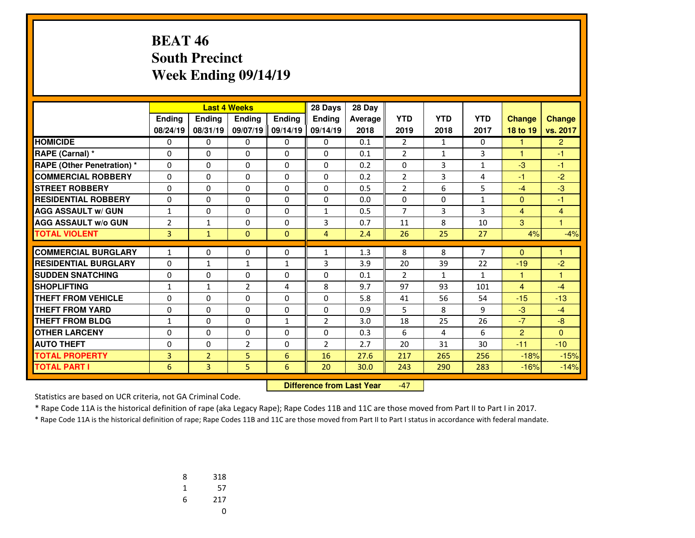## **BEAT 46 South PrecinctWeek Ending 09/14/19**

|                                   |                |                | <b>Last 4 Weeks</b> |              | 28 Days        | 28 Day         |                |                |              |                |                |
|-----------------------------------|----------------|----------------|---------------------|--------------|----------------|----------------|----------------|----------------|--------------|----------------|----------------|
|                                   | Ending         | <b>Endina</b>  | <b>Endina</b>       | Ending       | <b>Endina</b>  | <b>Average</b> | <b>YTD</b>     | <b>YTD</b>     | <b>YTD</b>   | <b>Change</b>  | <b>Change</b>  |
|                                   | 08/24/19       | 08/31/19       | 09/07/19            | 09/14/19     | 09/14/19       | 2018           | 2019           | 2018           | 2017         | 18 to 19       | vs. 2017       |
| <b>HOMICIDE</b>                   | 0              | 0              | 0                   | 0            | 0              | 0.1            | $\overline{2}$ | $\mathbf{1}$   | $\Omega$     | 1.             | $\overline{2}$ |
| RAPE (Carnal) *                   | $\Omega$       | 0              | $\Omega$            | $\Omega$     | $\Omega$       | 0.1            | $\overline{2}$ | $\mathbf{1}$   | 3            | $\mathbf{1}$   | $-1$           |
| <b>RAPE (Other Penetration) *</b> | $\Omega$       | 0              | $\Omega$            | $\Omega$     | $\Omega$       | 0.2            | 0              | 3              | $\mathbf{1}$ | $-3$           | $-1$           |
| <b>COMMERCIAL ROBBERY</b>         | 0              | 0              | $\Omega$            | 0            | 0              | 0.2            | $\overline{2}$ | 3              | 4            | $-1$           | $-2$           |
| <b>STREET ROBBERY</b>             | $\Omega$       | $\Omega$       | $\Omega$            | $\Omega$     | $\Omega$       | 0.5            | $\overline{2}$ | 6              | 5            | $-4$           | $-3$           |
| <b>RESIDENTIAL ROBBERY</b>        | 0              | 0              | $\Omega$            | $\Omega$     | $\Omega$       | 0.0            | $\Omega$       | $\Omega$       | 1            | $\mathbf{0}$   | $-1$           |
| <b>AGG ASSAULT w/ GUN</b>         | $\mathbf{1}$   | 0              | 0                   | 0            | $\mathbf{1}$   | 0.5            | $\overline{7}$ | $\overline{3}$ | 3            | $\overline{4}$ | 4              |
| <b>AGG ASSAULT w/o GUN</b>        | $\overline{2}$ | $\mathbf{1}$   | 0                   | 0            | 3              | 0.7            | 11             | 8              | 10           | 3              | 1              |
| <b>TOTAL VIOLENT</b>              | 3              | $\mathbf{1}$   | $\mathbf{0}$        | $\mathbf{0}$ | $\overline{4}$ | 2.4            | 26             | 25             | 27           | 4%             | $-4%$          |
|                                   |                |                |                     |              |                |                |                |                |              |                |                |
| <b>COMMERCIAL BURGLARY</b>        | $\mathbf{1}$   | 0              | 0                   | 0            | $\mathbf{1}$   | 1.3            | 8              | 8              | 7            | $\Omega$       | 1              |
| <b>RESIDENTIAL BURGLARY</b>       | $\Omega$       | $\mathbf{1}$   | $\mathbf{1}$        | $\mathbf{1}$ | 3              | 3.9            | 20             | 39             | 22           | $-19$          | $-2$           |
| <b>SUDDEN SNATCHING</b>           | 0              | 0              | 0                   | 0            | $\Omega$       | 0.1            | $\overline{2}$ | $\mathbf{1}$   | $\mathbf{1}$ | $\mathbf{1}$   | 1              |
| <b>SHOPLIFTING</b>                | $\mathbf{1}$   | $\mathbf{1}$   | $\overline{2}$      | 4            | 8              | 9.7            | 97             | 93             | 101          | $\overline{4}$ | $-4$           |
| <b>THEFT FROM VEHICLE</b>         | $\Omega$       | 0              | $\Omega$            | $\Omega$     | $\Omega$       | 5.8            | 41             | 56             | 54           | $-15$          | $-13$          |
| <b>THEFT FROM YARD</b>            | 0              | $\Omega$       | $\Omega$            | $\Omega$     | $\Omega$       | 0.9            | 5              | 8              | 9            | $-3$           | $-4$           |
| <b>THEFT FROM BLDG</b>            | 1              | 0              | $\Omega$            | $\mathbf{1}$ | $\overline{2}$ | 3.0            | 18             | 25             | 26           | $-7$           | $-8$           |
| <b>OTHER LARCENY</b>              | 0              | 0              | $\Omega$            | $\Omega$     | $\Omega$       | 0.3            | 6              | 4              | 6            | $\overline{2}$ | $\Omega$       |
| <b>AUTO THEFT</b>                 | 0              | 0              | $\overline{2}$      | 0            | $\overline{2}$ | 2.7            | 20             | 31             | 30           | $-11$          | $-10$          |
| <b>TOTAL PROPERTY</b>             | 3              | $\overline{2}$ | 5                   | 6            | 16             | 27.6           | 217            | 265            | 256          | $-18%$         | $-15%$         |
| <b>TOTAL PART I</b>               | 6              | 3              | 5                   | 6            | 20             | 30.0           | 243            | 290            | 283          | $-16%$         | $-14%$         |

 **Difference from Last Year**-47

Statistics are based on UCR criteria, not GA Criminal Code.

\* Rape Code 11A is the historical definition of rape (aka Legacy Rape); Rape Codes 11B and 11C are those moved from Part II to Part I in 2017.

| 8 | 318 |
|---|-----|
| 1 | 57  |
| 6 | 217 |
|   | U   |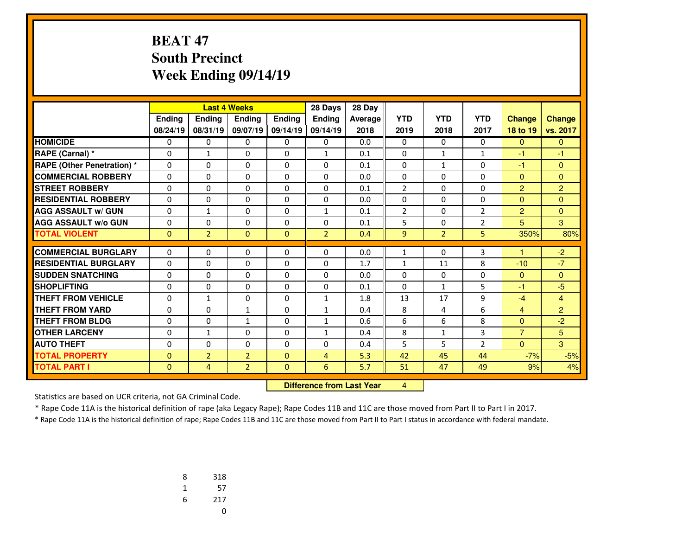## **BEAT 47 South PrecinctWeek Ending 09/14/19**

|                                   | <b>Last 4 Weeks</b> |                |                | 28 Days      | 28 Day                           |         |                |                |                |                |                |
|-----------------------------------|---------------------|----------------|----------------|--------------|----------------------------------|---------|----------------|----------------|----------------|----------------|----------------|
|                                   | Ending              | Ending         | Ending         | Ending       | <b>Ending</b>                    | Average | <b>YTD</b>     | <b>YTD</b>     | <b>YTD</b>     | <b>Change</b>  | <b>Change</b>  |
|                                   | 08/24/19            | 08/31/19       | 09/07/19       | 09/14/19     | 09/14/19                         | 2018    | 2019           | 2018           | 2017           | 18 to 19       | vs. 2017       |
| <b>HOMICIDE</b>                   | $\Omega$            | 0              | 0              | 0            | $\Omega$                         | 0.0     | $\mathbf{0}$   | $\Omega$       | $\Omega$       | $\mathbf{0}$   | $\mathbf{0}$   |
| RAPE (Carnal) *                   | 0                   | $\mathbf{1}$   | $\Omega$       | $\Omega$     | $\mathbf{1}$                     | 0.1     | $\mathbf{0}$   | $\mathbf{1}$   | $\mathbf{1}$   | $-1$           | $-1$           |
| <b>RAPE (Other Penetration) *</b> | 0                   | $\Omega$       | $\Omega$       | $\Omega$     | $\Omega$                         | 0.1     | 0              | $\mathbf{1}$   | $\Omega$       | $-1$           | $\mathbf{0}$   |
| <b>COMMERCIAL ROBBERY</b>         | $\mathbf{0}$        | 0              | $\Omega$       | 0            | $\Omega$                         | 0.0     | 0              | 0              | $\Omega$       | $\mathbf{0}$   | $\mathbf{0}$   |
| <b>STREET ROBBERY</b>             | 0                   | 0              | $\Omega$       | 0            | 0                                | 0.1     | $\overline{2}$ | 0              | $\Omega$       | 2              | $\overline{2}$ |
| <b>RESIDENTIAL ROBBERY</b>        | $\Omega$            | $\Omega$       | 0              | $\Omega$     | $\Omega$                         | 0.0     | 0              | 0              | 0              | $\mathbf{0}$   | $\mathbf{0}$   |
| <b>AGG ASSAULT w/ GUN</b>         | $\Omega$            | $\mathbf{1}$   | 0              | $\Omega$     | $\mathbf{1}$                     | 0.1     | $\overline{2}$ | 0              | $\overline{2}$ | $\overline{2}$ | $\mathbf{0}$   |
| <b>AGG ASSAULT w/o GUN</b>        | $\Omega$            | $\Omega$       | 0              | $\Omega$     | $\Omega$                         | 0.1     | 5              | 0              | $\overline{2}$ | 5              | 3              |
| <b>TOTAL VIOLENT</b>              | $\mathbf{0}$        | $\overline{2}$ | $\mathbf{0}$   | $\Omega$     | $\overline{2}$                   | 0.4     | 9              | $\overline{2}$ | 5              | 350%           | 80%            |
| <b>COMMERCIAL BURGLARY</b>        | 0                   | 0              | 0              | 0            | $\Omega$                         | 0.0     | $\mathbf{1}$   | $\Omega$       | 3              | н              | $-2$           |
| <b>RESIDENTIAL BURGLARY</b>       | $\Omega$            | $\Omega$       | 0              | $\Omega$     | $\mathbf{0}$                     | 1.7     | $\mathbf{1}$   | 11             | 8              | $-10$          | $-7$           |
| <b>SUDDEN SNATCHING</b>           | 0                   | $\Omega$       | $\Omega$       | $\Omega$     | $\Omega$                         | 0.0     | $\Omega$       | $\Omega$       | $\Omega$       | $\overline{0}$ | $\mathbf{0}$   |
| <b>SHOPLIFTING</b>                | 0                   | $\Omega$       | $\Omega$       | $\Omega$     | $\Omega$                         | 0.1     | $\mathbf{0}$   | $\mathbf{1}$   | 5              | $-1$           | $-5$           |
| <b>THEFT FROM VEHICLE</b>         | $\Omega$            | $\mathbf{1}$   | $\Omega$       | $\Omega$     | $\mathbf{1}$                     | 1.8     | 13             | 17             | 9              | $-4$           | $\overline{4}$ |
| <b>THEFT FROM YARD</b>            | 0                   | $\Omega$       | $\mathbf{1}$   | $\Omega$     | $\mathbf{1}$                     | 0.4     | 8              | 4              | 6              | $\overline{4}$ | $\overline{2}$ |
| <b>THEFT FROM BLDG</b>            | 0                   | 0              | $\mathbf{1}$   | 0            | $\mathbf{1}$                     | 0.6     | 6              | 6              | 8              | $\Omega$       | $-2$           |
| <b>OTHER LARCENY</b>              | 0                   | $\mathbf{1}$   | $\Omega$       | $\Omega$     | $\mathbf{1}$                     | 0.4     | 8              | $\mathbf{1}$   | 3              | $\overline{7}$ | 5              |
| <b>AUTO THEFT</b>                 | 0                   | $\Omega$       | $\Omega$       | $\Omega$     | $\Omega$                         | 0.4     | 5              | 5              | $\overline{2}$ | $\mathbf{0}$   | 3              |
| <b>TOTAL PROPERTY</b>             | $\Omega$            | $\overline{2}$ | $\overline{2}$ | $\Omega$     | 4                                | 5.3     | 42             | 45             | 44             | $-7%$          | $-5%$          |
| <b>TOTAL PART I</b>               | $\mathbf{0}$        | $\overline{4}$ | $\overline{2}$ | $\mathbf{0}$ | 6                                | 5.7     | 51             | 47             | 49             | 9%             | 4%             |
|                                   |                     |                |                |              | <b>Difference from Last Year</b> |         | $\overline{4}$ |                |                |                |                |

 **Difference from Last Year**

Statistics are based on UCR criteria, not GA Criminal Code.

\* Rape Code 11A is the historical definition of rape (aka Legacy Rape); Rape Codes 11B and 11C are those moved from Part II to Part I in 2017.

| 8 | 318 |
|---|-----|
| 1 | 57  |
| 6 | 217 |
|   | U   |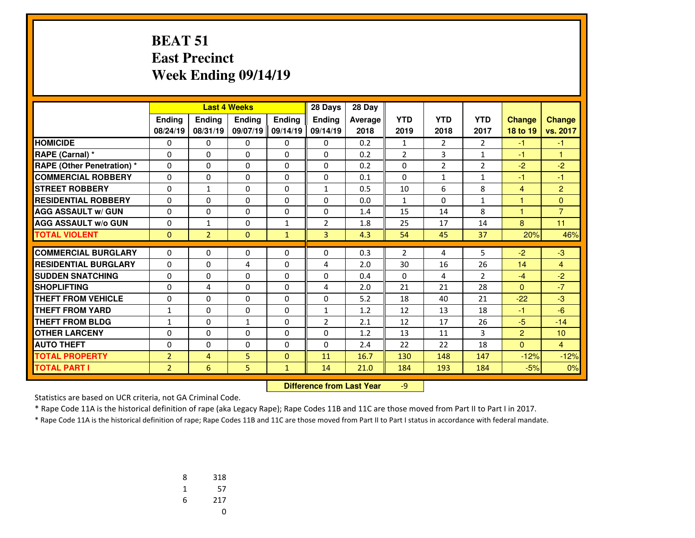#### **BEAT 51 East PrecinctWeek Ending 09/14/19**

|                                   |                |                | 28 Days<br><b>Last 4 Weeks</b> |               |                | 28 Day  |                |                |                |                |                |
|-----------------------------------|----------------|----------------|--------------------------------|---------------|----------------|---------|----------------|----------------|----------------|----------------|----------------|
|                                   | <b>Ending</b>  | Ending         | <b>Endina</b>                  | <b>Endina</b> | <b>Endina</b>  | Average | <b>YTD</b>     | <b>YTD</b>     | <b>YTD</b>     | <b>Change</b>  | <b>Change</b>  |
|                                   | 08/24/19       | 08/31/19       | 09/07/19                       | 09/14/19      | 09/14/19       | 2018    | 2019           | 2018           | 2017           | 18 to 19       | vs. 2017       |
| <b>HOMICIDE</b>                   | 0              | 0              | 0                              | 0             | 0              | 0.2     | $\mathbf{1}$   | 2              | $\overline{2}$ | -1             | -1             |
| RAPE (Carnal) *                   | 0              | $\Omega$       | 0                              | 0             | 0              | 0.2     | $\overline{2}$ | 3              | $\mathbf{1}$   | -1             | 1              |
| <b>RAPE (Other Penetration) *</b> | $\Omega$       | $\Omega$       | $\Omega$                       | 0             | $\Omega$       | 0.2     | $\mathbf 0$    | $\overline{2}$ | $\overline{2}$ | $-2$           | $-2$           |
| <b>COMMERCIAL ROBBERY</b>         | $\Omega$       | $\Omega$       | $\Omega$                       | $\Omega$      | $\Omega$       | 0.1     | $\Omega$       | $\mathbf{1}$   | $\mathbf{1}$   | -1             | $-1$           |
| <b>STREET ROBBERY</b>             | $\Omega$       | $\mathbf{1}$   | 0                              | 0             | $\mathbf{1}$   | 0.5     | 10             | 6              | 8              | $\overline{4}$ | $\overline{2}$ |
| <b>RESIDENTIAL ROBBERY</b>        | 0              | $\Omega$       | 0                              | 0             | $\Omega$       | 0.0     | $\mathbf{1}$   | $\Omega$       | 1              | $\overline{1}$ | $\Omega$       |
| <b>AGG ASSAULT w/ GUN</b>         | 0              | $\mathbf{0}$   | 0                              | 0             | $\Omega$       | 1.4     | 15             | 14             | 8              | 1              | $\overline{7}$ |
| <b>AGG ASSAULT w/o GUN</b>        | 0              | $\mathbf{1}$   | 0                              | $\mathbf{1}$  | 2              | 1.8     | 25             | 17             | 14             | 8              | 11             |
| <b>TOTAL VIOLENT</b>              | $\mathbf{0}$   | $\overline{2}$ | $\mathbf{0}$                   | $\mathbf{1}$  | 3              | 4.3     | 54             | 45             | 37             | 20%            | 46%            |
|                                   |                |                |                                |               |                |         |                |                |                |                |                |
| <b>COMMERCIAL BURGLARY</b>        | $\Omega$       | $\Omega$       | 0                              | 0             | 0              | 0.3     | $\overline{2}$ | 4              | 5              | $-2$           | $-3$           |
| <b>RESIDENTIAL BURGLARY</b>       | 0              | $\Omega$       | 4                              | 0             | 4              | 2.0     | 30             | 16             | 26             | 14             | $\overline{4}$ |
| <b>SUDDEN SNATCHING</b>           | 0              | $\Omega$       | $\Omega$                       | 0             | $\Omega$       | 0.4     | $\mathbf 0$    | 4              | $\overline{2}$ | $-4$           | $-2$           |
| <b>SHOPLIFTING</b>                | 0              | 4              | 0                              | 0             | 4              | 2.0     | 21             | 21             | 28             | $\Omega$       | $-7$           |
| <b>THEFT FROM VEHICLE</b>         | $\Omega$       | $\Omega$       | $\Omega$                       | $\Omega$      | $\Omega$       | 5.2     | 18             | 40             | 21             | $-22$          | $-3$           |
| <b>THEFT FROM YARD</b>            | $\mathbf{1}$   | $\Omega$       | $\Omega$                       | 0             | $\mathbf{1}$   | 1.2     | 12             | 13             | 18             | $-1$           | $-6$           |
| <b>THEFT FROM BLDG</b>            | $\mathbf{1}$   | $\Omega$       | $\mathbf{1}$                   | $\Omega$      | $\overline{2}$ | 2.1     | 12             | 17             | 26             | $-5$           | $-14$          |
| <b>OTHER LARCENY</b>              | 0              | $\Omega$       | $\Omega$                       | $\Omega$      | $\Omega$       | 1.2     | 13             | 11             | 3              | $\overline{2}$ | 10             |
| <b>AUTO THEFT</b>                 | 0              | $\Omega$       | 0                              | 0             | $\Omega$       | 2.4     | 22             | 22             | 18             | $\mathbf{0}$   | $\overline{4}$ |
| <b>TOTAL PROPERTY</b>             | $\overline{2}$ | 4              | 5                              | $\mathbf{0}$  | 11             | 16.7    | 130            | 148            | 147            | $-12%$         | $-12%$         |
| <b>TOTAL PART I</b>               | $\overline{2}$ | 6              | 5                              | $\mathbf{1}$  | 14             | 21.0    | 184            | 193            | 184            | $-5%$          | 0%             |

 **Difference from Last Year**-9

Statistics are based on UCR criteria, not GA Criminal Code.

\* Rape Code 11A is the historical definition of rape (aka Legacy Rape); Rape Codes 11B and 11C are those moved from Part II to Part I in 2017.

| 8 | 318 |
|---|-----|
| 1 | 57  |
| 6 | 217 |
|   | U   |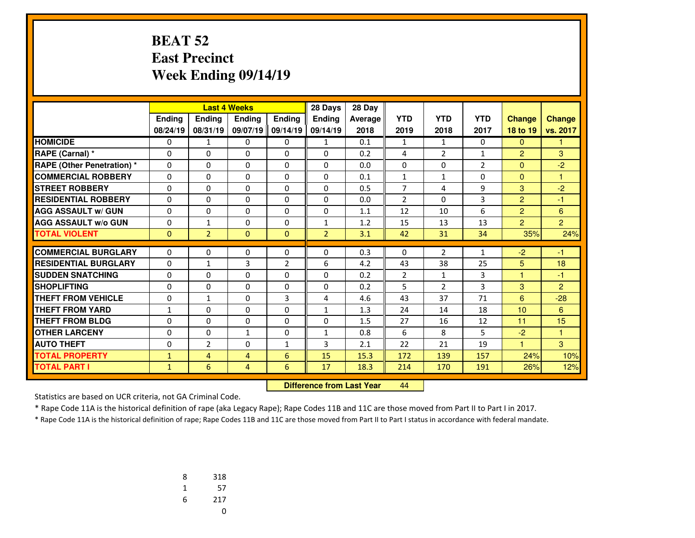## **BEAT 52 East PrecinctWeek Ending 09/14/19**

|                                   |              |                | <b>Last 4 Weeks</b> |                | 28 Days        | 28 Day         |                |                |                |                |                |
|-----------------------------------|--------------|----------------|---------------------|----------------|----------------|----------------|----------------|----------------|----------------|----------------|----------------|
|                                   | Ending       | <b>Endina</b>  | <b>Endina</b>       | Ending         | <b>Endina</b>  | <b>Average</b> | <b>YTD</b>     | <b>YTD</b>     | <b>YTD</b>     | <b>Change</b>  | <b>Change</b>  |
|                                   | 08/24/19     | 08/31/19       | 09/07/19            | 09/14/19       | 09/14/19       | 2018           | 2019           | 2018           | 2017           | 18 to 19       | vs. 2017       |
| <b>HOMICIDE</b>                   | 0            | $\mathbf{1}$   | 0                   | 0              | 1              | 0.1            | $\mathbf{1}$   | $\mathbf{1}$   | $\Omega$       | $\overline{0}$ | 1              |
| RAPE (Carnal) *                   | $\Omega$     | 0              | $\Omega$            | $\Omega$       | $\Omega$       | 0.2            | 4              | $\overline{2}$ | $\mathbf{1}$   | $\overline{2}$ | 3              |
| <b>RAPE (Other Penetration) *</b> | $\Omega$     | 0              | $\Omega$            | $\Omega$       | $\Omega$       | 0.0            | 0              | $\Omega$       | $\overline{2}$ | $\mathbf{0}$   | $-2$           |
| <b>COMMERCIAL ROBBERY</b>         | 0            | 0              | $\Omega$            | 0              | 0              | 0.1            | $\mathbf{1}$   | $\mathbf{1}$   | 0              | $\mathbf{0}$   | 1              |
| <b>STREET ROBBERY</b>             | $\Omega$     | $\Omega$       | $\Omega$            | $\Omega$       | $\Omega$       | 0.5            | $\overline{7}$ | 4              | 9              | 3              | $-2$           |
| <b>RESIDENTIAL ROBBERY</b>        | 0            | 0              | $\Omega$            | $\Omega$       | $\Omega$       | 0.0            | $\overline{2}$ | $\Omega$       | 3              | $\overline{2}$ | $-1$           |
| <b>AGG ASSAULT w/ GUN</b>         | 0            | 0              | 0                   | 0              | $\Omega$       | 1.1            | 12             | 10             | 6              | $\overline{2}$ | 6              |
| <b>AGG ASSAULT w/o GUN</b>        | 0            | $\mathbf{1}$   | 0                   | 0              | $\mathbf{1}$   | 1.2            | 15             | 13             | 13             | $\overline{2}$ | $\overline{2}$ |
| <b>TOTAL VIOLENT</b>              | $\mathbf{0}$ | $\overline{2}$ | $\mathbf{0}$        | $\mathbf{0}$   | $\overline{2}$ | 3.1            | 42             | 31             | 34             | 35%            | 24%            |
|                                   |              |                |                     |                |                |                |                |                |                |                |                |
| <b>COMMERCIAL BURGLARY</b>        | 0            | 0              | 0                   | 0              | 0              | 0.3            | 0              | $\overline{2}$ | 1              | $-2$           | $-1$           |
| <b>RESIDENTIAL BURGLARY</b>       | $\Omega$     | $\mathbf{1}$   | 3                   | $\overline{2}$ | 6              | 4.2            | 43             | 38             | 25             | 5              | 18             |
| <b>SUDDEN SNATCHING</b>           | 0            | 0              | 0                   | 0              | 0              | 0.2            | $\overline{2}$ | $\mathbf{1}$   | 3              | $\mathbf{1}$   | $-1$           |
| <b>SHOPLIFTING</b>                | $\Omega$     | $\Omega$       | $\Omega$            | 0              | $\Omega$       | 0.2            | 5              | $\overline{2}$ | 3              | 3              | $\overline{2}$ |
| <b>THEFT FROM VEHICLE</b>         | $\Omega$     | $\mathbf{1}$   | $\Omega$            | 3              | 4              | 4.6            | 43             | 37             | 71             | 6              | $-28$          |
| <b>THEFT FROM YARD</b>            | 1            | $\Omega$       | $\Omega$            | $\Omega$       | $\mathbf{1}$   | 1.3            | 24             | 14             | 18             | 10             | 6              |
| <b>THEFT FROM BLDG</b>            | 0            | 0              | 0                   | $\Omega$       | $\Omega$       | 1.5            | 27             | 16             | 12             | 11             | 15             |
| <b>OTHER LARCENY</b>              | $\Omega$     | 0              | $\mathbf{1}$        | $\Omega$       | $\mathbf{1}$   | 0.8            | 6              | 8              | 5              | $-2$           | 1              |
| <b>AUTO THEFT</b>                 | 0            | $\overline{2}$ | 0                   | $\mathbf{1}$   | 3              | 2.1            | 22             | 21             | 19             | 1              | 3              |
| <b>TOTAL PROPERTY</b>             | $\mathbf{1}$ | 4              | $\overline{4}$      | 6              | 15             | 15.3           | 172            | 139            | 157            | 24%            | 10%            |
| <b>TOTAL PART I</b>               | $\mathbf{1}$ | 6              | $\overline{4}$      | 6              | 17             | 18.3           | 214            | 170            | 191            | 26%            | 12%            |

 **Difference from Last Year**<sup>44</sup>

Statistics are based on UCR criteria, not GA Criminal Code.

\* Rape Code 11A is the historical definition of rape (aka Legacy Rape); Rape Codes 11B and 11C are those moved from Part II to Part I in 2017.

| 8 | 318 |
|---|-----|
| 1 | 57  |
| 6 | 217 |
|   | U   |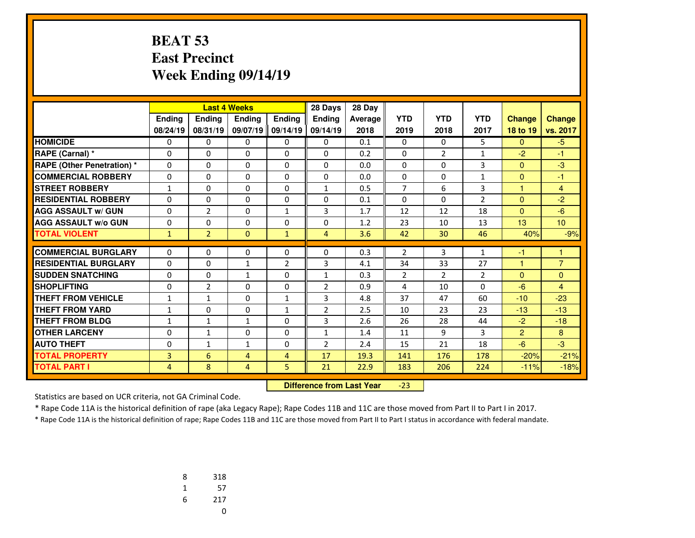## **BEAT 53 East PrecinctWeek Ending 09/14/19**

|                                  |                |                | 28 Days<br><b>Last 4 Weeks</b> |                |                | 28 Day  |                |                |                |                |                 |
|----------------------------------|----------------|----------------|--------------------------------|----------------|----------------|---------|----------------|----------------|----------------|----------------|-----------------|
|                                  | Ending         | Ending         | Ending                         | Ending         | Ending         | Average | <b>YTD</b>     | <b>YTD</b>     | <b>YTD</b>     | <b>Change</b>  | <b>Change</b>   |
|                                  | 08/24/19       | 08/31/19       | 09/07/19                       | 09/14/19       | 09/14/19       | 2018    | 2019           | 2018           | 2017           | 18 to 19       | vs. 2017        |
| <b>HOMICIDE</b>                  | 0              | 0              | 0                              | 0              | 0              | 0.1     | $\mathbf{0}$   | 0              | 5              | $\Omega$       | $-5$            |
| RAPE (Carnal) *                  | $\Omega$       | $\Omega$       | 0                              | 0              | $\Omega$       | 0.2     | $\Omega$       | $\overline{2}$ | 1              | $-2$           | $-1$            |
| <b>RAPE (Other Penetration)*</b> | $\Omega$       | $\Omega$       | $\Omega$                       | $\Omega$       | $\Omega$       | 0.0     | 0              | $\Omega$       | 3              | $\mathbf{0}$   | $-3$            |
| <b>COMMERCIAL ROBBERY</b>        | $\Omega$       | $\Omega$       | 0                              | $\Omega$       | $\Omega$       | 0.0     | $\Omega$       | $\Omega$       | $\mathbf{1}$   | $\mathbf{0}$   | $-1$            |
| <b>STREET ROBBERY</b>            | $\mathbf{1}$   | $\Omega$       | 0                              | 0              | $\mathbf{1}$   | 0.5     | $\overline{7}$ | 6              | 3              | $\mathbf{1}$   | $\overline{4}$  |
| <b>RESIDENTIAL ROBBERY</b>       | $\Omega$       | $\Omega$       | 0                              | 0              | $\Omega$       | 0.1     | $\Omega$       | $\Omega$       | $\overline{2}$ | $\Omega$       | $-2$            |
| <b>AGG ASSAULT w/ GUN</b>        | $\mathbf 0$    | 2              | 0                              | 1              | 3              | 1.7     | 12             | 12             | 18             | $\mathbf{0}$   | $-6$            |
| <b>AGG ASSAULT w/o GUN</b>       | $\mathbf{0}$   | $\Omega$       | 0                              | $\Omega$       | $\Omega$       | 1.2     | 23             | 10             | 13             | 13             | 10 <sup>1</sup> |
| <b>TOTAL VIOLENT</b>             | $\mathbf{1}$   | $\overline{2}$ | $\overline{0}$                 | $\mathbf{1}$   | $\overline{4}$ | 3.6     | 42             | 30             | 46             | 40%            | $-9%$           |
|                                  |                |                |                                |                |                |         |                |                |                |                |                 |
| <b>COMMERCIAL BURGLARY</b>       | 0              | 0              | 0                              | $\mathbf{0}$   | 0              | 0.3     | $\overline{2}$ | 3              | $\mathbf{1}$   | -1             |                 |
| <b>RESIDENTIAL BURGLARY</b>      | 0              | $\Omega$       | $\mathbf{1}$                   | $\overline{2}$ | 3              | 4.1     | 34             | 33             | 27             | 4              | $\overline{7}$  |
| <b>SUDDEN SNATCHING</b>          | $\Omega$       | $\Omega$       | $\mathbf{1}$                   | $\Omega$       | $\mathbf{1}$   | 0.3     | $\overline{2}$ | $\overline{2}$ | $\overline{2}$ | $\Omega$       | $\Omega$        |
| <b>SHOPLIFTING</b>               | 0              | $\overline{2}$ | 0                              | 0              | $\overline{2}$ | 0.9     | 4              | 10             | $\Omega$       | $-6$           | $\overline{4}$  |
| <b>THEFT FROM VEHICLE</b>        | $\mathbf{1}$   | $\mathbf{1}$   | 0                              | $\mathbf{1}$   | 3              | 4.8     | 37             | 47             | 60             | $-10$          | $-23$           |
| <b>THEFT FROM YARD</b>           | $\mathbf{1}$   | $\Omega$       | 0                              | 1              | $\overline{2}$ | 2.5     | 10             | 23             | 23             | $-13$          | $-13$           |
| <b>THEFT FROM BLDG</b>           | $\mathbf{1}$   | $\mathbf{1}$   | $\mathbf{1}$                   | $\Omega$       | 3              | 2.6     | 26             | 28             | 44             | $-2$           | $-18$           |
| <b>OTHER LARCENY</b>             | 0              | $\mathbf{1}$   | 0                              | 0              | $\mathbf{1}$   | 1.4     | 11             | 9              | 3              | $\overline{2}$ | 8               |
| <b>AUTO THEFT</b>                | $\Omega$       | $\mathbf{1}$   | $\mathbf{1}$                   | $\Omega$       | $\overline{2}$ | 2.4     | 15             | 21             | 18             | $-6$           | $-3$            |
| <b>TOTAL PROPERTY</b>            | 3              | 6              | 4                              | $\overline{4}$ | 17             | 19.3    | 141            | 176            | 178            | $-20%$         | $-21%$          |
| <b>TOTAL PART I</b>              | $\overline{4}$ | 8              | $\overline{4}$                 | 5              | 21             | 22.9    | 183            | 206            | 224            | $-11%$         | $-18%$          |

 **Difference from Last Year**-23

Statistics are based on UCR criteria, not GA Criminal Code.

\* Rape Code 11A is the historical definition of rape (aka Legacy Rape); Rape Codes 11B and 11C are those moved from Part II to Part I in 2017.

| 8 | 318 |
|---|-----|
| 1 | 57  |
| 6 | 217 |
|   | U   |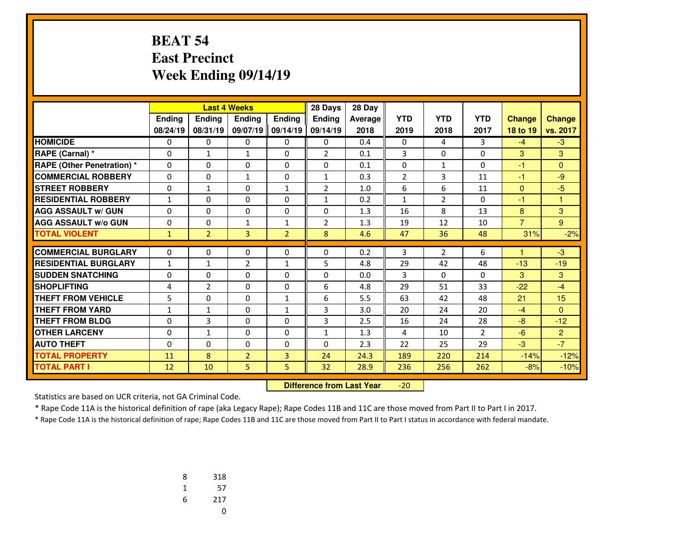## **BEAT 54 East PrecinctWeek Ending 09/14/19**

|                                   |              |                | <b>Last 4 Weeks</b> |                | 28 Days        | 28 Day         |                |                |                |                |                |
|-----------------------------------|--------------|----------------|---------------------|----------------|----------------|----------------|----------------|----------------|----------------|----------------|----------------|
|                                   | Ending       | <b>Endina</b>  | <b>Endina</b>       | Ending         | <b>Endina</b>  | <b>Average</b> | <b>YTD</b>     | <b>YTD</b>     | <b>YTD</b>     | <b>Change</b>  | <b>Change</b>  |
|                                   | 08/24/19     | 08/31/19       | 09/07/19            | 09/14/19       | 09/14/19       | 2018           | 2019           | 2018           | 2017           | 18 to 19       | vs. 2017       |
| <b>HOMICIDE</b>                   | 0            | 0              | 0                   | 0              | 0              | 0.4            | 0              | 4              | 3              | $-4$           | $-3$           |
| RAPE (Carnal) *                   | $\Omega$     | $\mathbf{1}$   | $\mathbf{1}$        | $\Omega$       | $\overline{2}$ | 0.1            | 3              | $\Omega$       | $\Omega$       | 3              | 3              |
| <b>RAPE (Other Penetration) *</b> | $\Omega$     | 0              | $\Omega$            | $\Omega$       | $\Omega$       | 0.1            | 0              | $\mathbf{1}$   | $\Omega$       | $-1$           | $\Omega$       |
| <b>COMMERCIAL ROBBERY</b>         | 0            | 0              | $\mathbf{1}$        | 0              | $\mathbf{1}$   | 0.3            | $\overline{2}$ | 3              | 11             | -1             | $-9$           |
| <b>STREET ROBBERY</b>             | 0            | $\mathbf{1}$   | $\Omega$            | $\mathbf{1}$   | $\overline{2}$ | 1.0            | 6              | 6              | 11             | $\mathbf{0}$   | $-5$           |
| <b>RESIDENTIAL ROBBERY</b>        | $\mathbf{1}$ | 0              | $\Omega$            | $\Omega$       | $\mathbf{1}$   | 0.2            | $\mathbf{1}$   | $\overline{2}$ | $\Omega$       | -1             | 1              |
| <b>AGG ASSAULT w/ GUN</b>         | 0            | 0              | 0                   | 0              | $\Omega$       | 1.3            | 16             | 8              | 13             | 8              | 3              |
| <b>AGG ASSAULT w/o GUN</b>        | 0            | 0              | 1                   | $\mathbf{1}$   | $\overline{2}$ | 1.3            | 19             | 12             | 10             | $\overline{7}$ | 9              |
| <b>TOTAL VIOLENT</b>              | $\mathbf{1}$ | $\overline{2}$ | 3                   | $\overline{2}$ | 8              | 4.6            | 47             | 36             | 48             | 31%            | $-2%$          |
|                                   |              |                |                     |                |                |                |                |                |                | ۹              |                |
| <b>COMMERCIAL BURGLARY</b>        | 0            | 0              | 0                   | 0              | 0              | 0.2            | 3              | $\overline{2}$ | 6              |                | $-3$           |
| <b>RESIDENTIAL BURGLARY</b>       | 1            | $\mathbf{1}$   | $\overline{2}$      | $\mathbf{1}$   | 5              | 4.8            | 29             | 42             | 48             | $-13$          | $-19$          |
| <b>SUDDEN SNATCHING</b>           | 0            | 0              | $\Omega$            | 0              | 0              | 0.0            | 3              | $\Omega$       | $\Omega$       | 3              | 3              |
| <b>SHOPLIFTING</b>                | 4            | $\overline{2}$ | $\Omega$            | $\Omega$       | 6              | 4.8            | 29             | 51             | 33             | $-22$          | $-4$           |
| <b>THEFT FROM VEHICLE</b>         | 5            | 0              | $\Omega$            | $\mathbf{1}$   | 6              | 5.5            | 63             | 42             | 48             | 21             | 15             |
| <b>THEFT FROM YARD</b>            | 1            | $\mathbf{1}$   | $\Omega$            | $\mathbf{1}$   | 3              | 3.0            | 20             | 24             | 20             | $-4$           | $\Omega$       |
| <b>THEFT FROM BLDG</b>            | 0            | 3              | 0                   | $\Omega$       | 3              | 2.5            | 16             | 24             | 28             | $-8$           | $-12$          |
| <b>OTHER LARCENY</b>              | 0            | $\mathbf{1}$   | 0                   | $\Omega$       | $\mathbf{1}$   | 1.3            | 4              | 10             | $\overline{2}$ | $-6$           | $\overline{2}$ |
| <b>AUTO THEFT</b>                 | 0            | 0              | 0                   | 0              | $\Omega$       | 2.3            | 22             | 25             | 29             | $-3$           | $-7$           |
| <b>TOTAL PROPERTY</b>             | 11           | 8              | $\overline{2}$      | 3              | 24             | 24.3           | 189            | 220            | 214            | $-14%$         | $-12%$         |
| <b>TOTAL PART I</b>               | 12           | 10             | 5                   | 5              | 32             | 28.9           | 236            | 256            | 262            | $-8%$          | $-10%$         |

 **Difference from Last Year**-20

Statistics are based on UCR criteria, not GA Criminal Code.

\* Rape Code 11A is the historical definition of rape (aka Legacy Rape); Rape Codes 11B and 11C are those moved from Part II to Part I in 2017.

| 8 | 318 |
|---|-----|
| 1 | 57  |
| 6 | 217 |
|   | U   |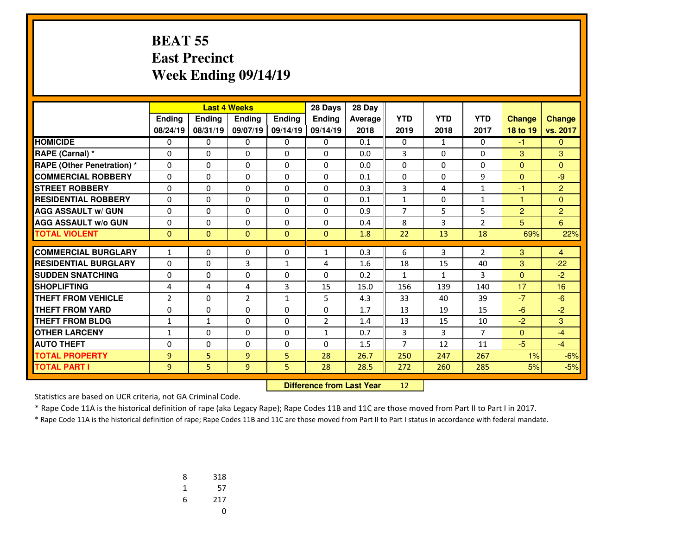## **BEAT 55 East PrecinctWeek Ending 09/14/19**

|                                   |                |              | <b>Last 4 Weeks</b> |              | 28 Days        | 28 Day  |                |              |                |                |                |
|-----------------------------------|----------------|--------------|---------------------|--------------|----------------|---------|----------------|--------------|----------------|----------------|----------------|
|                                   | Ending         | Ending       | Ending              | Ending       | Ending         | Average | <b>YTD</b>     | <b>YTD</b>   | <b>YTD</b>     | <b>Change</b>  | <b>Change</b>  |
|                                   | 08/24/19       | 08/31/19     | 09/07/19            | 09/14/19     | 09/14/19       | 2018    | 2019           | 2018         | 2017           | 18 to 19       | vs. 2017       |
| <b>HOMICIDE</b>                   | 0              | 0            | 0                   | 0            | 0              | 0.1     | $\mathbf{0}$   | $\mathbf{1}$ | $\mathbf{0}$   | $-1$           | $\mathbf{0}$   |
| RAPE (Carnal) *                   | $\Omega$       | $\Omega$     | 0                   | $\Omega$     | $\Omega$       | 0.0     | 3              | $\Omega$     | $\Omega$       | 3              | 3              |
| <b>RAPE (Other Penetration) *</b> | $\Omega$       | $\Omega$     | $\Omega$            | $\Omega$     | $\Omega$       | 0.0     | $\mathbf{0}$   | $\Omega$     | $\Omega$       | $\mathbf{0}$   | $\Omega$       |
| <b>COMMERCIAL ROBBERY</b>         | $\Omega$       | $\Omega$     | 0                   | $\Omega$     | $\Omega$       | 0.1     | $\Omega$       | $\Omega$     | 9              | $\mathbf{0}$   | $-9$           |
| <b>STREET ROBBERY</b>             | $\mathbf 0$    | $\Omega$     | 0                   | 0            | $\Omega$       | 0.3     | 3              | 4            | $\mathbf{1}$   | $-1$           | $\overline{2}$ |
| <b>RESIDENTIAL ROBBERY</b>        | $\Omega$       | $\Omega$     | 0                   | $\Omega$     | $\Omega$       | 0.1     | $\mathbf{1}$   | $\Omega$     | 1              | $\mathbf{1}$   | $\Omega$       |
| <b>AGG ASSAULT w/ GUN</b>         | $\mathbf 0$    | $\Omega$     | 0                   | 0            | $\Omega$       | 0.9     | $\overline{7}$ | 5            | 5              | $\overline{2}$ | $\overline{2}$ |
| <b>AGG ASSAULT w/o GUN</b>        | $\mathbf{0}$   | $\Omega$     | 0                   | $\Omega$     | $\Omega$       | 0.4     | 8              | 3            | $\overline{2}$ | 5              | 6              |
| <b>TOTAL VIOLENT</b>              | $\mathbf{0}$   | $\Omega$     | $\overline{0}$      | $\mathbf{0}$ | $\Omega$       | 1.8     | 22             | 13           | 18             | 69%            | 22%            |
|                                   |                |              |                     |              |                |         |                |              |                |                |                |
| <b>COMMERCIAL BURGLARY</b>        | $\mathbf{1}$   | 0            | 0                   | $\mathbf{0}$ | $\mathbf{1}$   | 0.3     | 6              | 3            | $\overline{2}$ | 3              | $\overline{4}$ |
| <b>RESIDENTIAL BURGLARY</b>       | 0              | $\Omega$     | 3                   | 1            | 4              | 1.6     | 18             | 15           | 40             | 3              | $-22$          |
| <b>SUDDEN SNATCHING</b>           | $\Omega$       | $\Omega$     | 0                   | $\Omega$     | $\Omega$       | 0.2     | $\mathbf{1}$   | $\mathbf{1}$ | 3              | $\mathbf{0}$   | $-2$           |
| <b>SHOPLIFTING</b>                | 4              | 4            | 4                   | 3            | 15             | 15.0    | 156            | 139          | 140            | 17             | 16             |
| <b>THEFT FROM VEHICLE</b>         | $\overline{2}$ | $\Omega$     | $\overline{2}$      | $\mathbf{1}$ | 5              | 4.3     | 33             | 40           | 39             | $-7$           | $-6$           |
| <b>THEFT FROM YARD</b>            | 0              | $\Omega$     | 0                   | 0            | $\Omega$       | 1.7     | 13             | 19           | 15             | $-6$           | $-2$           |
| <b>THEFT FROM BLDG</b>            | $\mathbf{1}$   | $\mathbf{1}$ | 0                   | $\Omega$     | $\overline{2}$ | 1.4     | 13             | 15           | 10             | $-2$           | 3              |
| <b>OTHER LARCENY</b>              | $\mathbf{1}$   | $\Omega$     | 0                   | 0            | $\mathbf{1}$   | 0.7     | 3              | 3            | $\overline{7}$ | $\mathbf{0}$   | $-4$           |
| <b>AUTO THEFT</b>                 | 0              | 0            | 0                   | $\Omega$     | $\Omega$       | 1.5     | 7              | 12           | 11             | $-5$           | $-4$           |
| <b>TOTAL PROPERTY</b>             | 9              | 5            | 9                   | 5            | 28             | 26.7    | 250            | 247          | 267            | 1%             | $-6%$          |
| <b>TOTAL PART I</b>               | 9              | 5            | 9                   | 5            | 28             | 28.5    | 272            | 260          | 285            | 5%             | $-5%$          |

 **Difference from Last Year**<sup>12</sup>

Statistics are based on UCR criteria, not GA Criminal Code.

\* Rape Code 11A is the historical definition of rape (aka Legacy Rape); Rape Codes 11B and 11C are those moved from Part II to Part I in 2017.

| 8 | 318 |
|---|-----|
| 1 | 57  |
| 6 | 217 |
|   | U   |